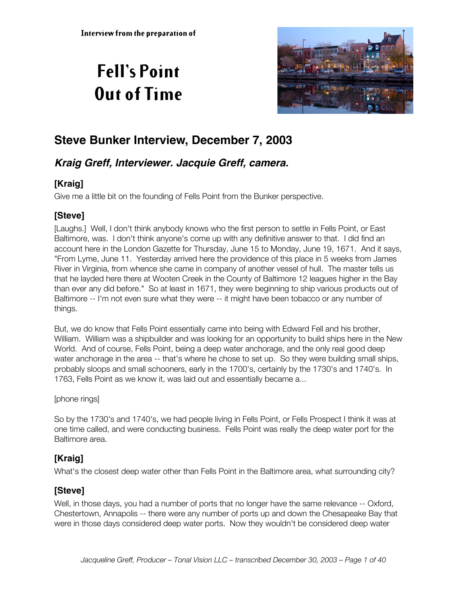# **Fell's Point Out of Time**



# **Steve Bunker Interview, December 7, 2003**

# **Kraig Greff, Interviewer. Jacquie Greff, camera.**

# **[Kraig]**

Give me a little bit on the founding of Fells Point from the Bunker perspective.

# **[Steve]**

[Laughs.] Well, I don't think anybody knows who the first person to settle in Fells Point, or East Baltimore, was. I don't think anyone's come up with any definitive answer to that. I did find an account here in the London Gazette for Thursday, June 15 to Monday, June 19, 1671. And it says, "From Lyme, June 11. Yesterday arrived here the providence of this place in 5 weeks from James River in Virginia, from whence she came in company of another vessel of hull. The master tells us that he layded here there at Wooten Creek in the County of Baltimore 12 leagues higher in the Bay than ever any did before." So at least in 1671, they were beginning to ship various products out of Baltimore -- I'm not even sure what they were -- it might have been tobacco or any number of things.

But, we do know that Fells Point essentially came into being with Edward Fell and his brother, William. William was a shipbuilder and was looking for an opportunity to build ships here in the New World. And of course, Fells Point, being a deep water anchorage, and the only real good deep water anchorage in the area -- that's where he chose to set up. So they were building small ships, probably sloops and small schooners, early in the 1700's, certainly by the 1730's and 1740's. In 1763, Fells Point as we know it, was laid out and essentially became a...

[phone rings]

So by the 1730's and 1740's, we had people living in Fells Point, or Fells Prospect I think it was at one time called, and were conducting business. Fells Point was really the deep water port for the Baltimore area.

# **[Kraig]**

What's the closest deep water other than Fells Point in the Baltimore area, what surrounding city?

# **[Steve]**

Well, in those days, you had a number of ports that no longer have the same relevance -- Oxford, Chestertown, Annapolis -- there were any number of ports up and down the Chesapeake Bay that were in those days considered deep water ports. Now they wouldn't be considered deep water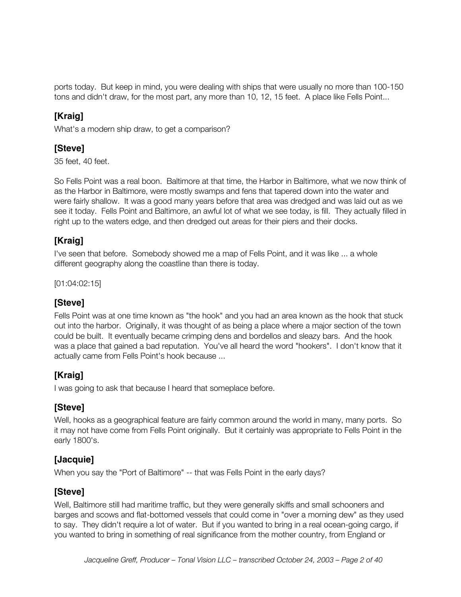ports today. But keep in mind, you were dealing with ships that were usually no more than 100-150 tons and didn't draw, for the most part, any more than 10, 12, 15 feet. A place like Fells Point...

# **[Kraig]**

What's a modern ship draw, to get a comparison?

### **[Steve]**

35 feet, 40 feet.

So Fells Point was a real boon. Baltimore at that time, the Harbor in Baltimore, what we now think of as the Harbor in Baltimore, were mostly swamps and fens that tapered down into the water and were fairly shallow. It was a good many years before that area was dredged and was laid out as we see it today. Fells Point and Baltimore, an awful lot of what we see today, is fill. They actually filled in right up to the waters edge, and then dredged out areas for their piers and their docks.

### **[Kraig]**

I've seen that before. Somebody showed me a map of Fells Point, and it was like ... a whole different geography along the coastline than there is today.

[01:04:02:15]

### **[Steve]**

Fells Point was at one time known as "the hook" and you had an area known as the hook that stuck out into the harbor. Originally, it was thought of as being a place where a major section of the town could be built. It eventually became crimping dens and bordellos and sleazy bars. And the hook was a place that gained a bad reputation. You've all heard the word "hookers". I don't know that it actually came from Fells Point's hook because ...

# **[Kraig]**

I was going to ask that because I heard that someplace before.

### **[Steve]**

Well, hooks as a geographical feature are fairly common around the world in many, many ports. So it may not have come from Fells Point originally. But it certainly was appropriate to Fells Point in the early 1800's.

### **[Jacquie]**

When you say the "Port of Baltimore" -- that was Fells Point in the early days?

### **[Steve]**

Well, Baltimore still had maritime traffic, but they were generally skiffs and small schooners and barges and scows and flat-bottomed vessels that could come in "over a morning dew" as they used to say. They didn't require a lot of water. But if you wanted to bring in a real ocean-going cargo, if you wanted to bring in something of real significance from the mother country, from England or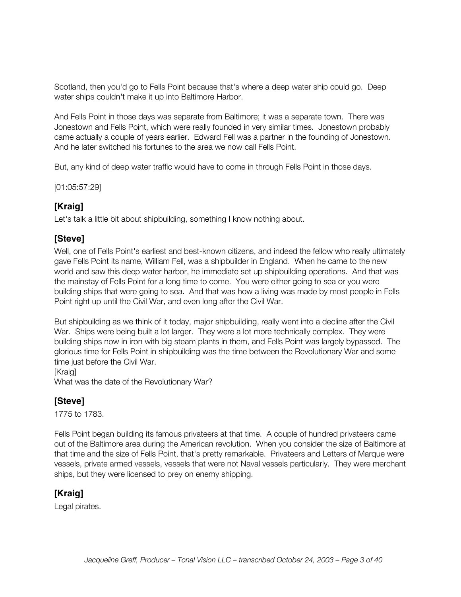Scotland, then you'd go to Fells Point because that's where a deep water ship could go. Deep water ships couldn't make it up into Baltimore Harbor.

And Fells Point in those days was separate from Baltimore; it was a separate town. There was Jonestown and Fells Point, which were really founded in very similar times. Jonestown probably came actually a couple of years earlier. Edward Fell was a partner in the founding of Jonestown. And he later switched his fortunes to the area we now call Fells Point.

But, any kind of deep water traffic would have to come in through Fells Point in those days.

[01:05:57:29]

### **[Kraig]**

Let's talk a little bit about shipbuilding, something I know nothing about.

### **[Steve]**

Well, one of Fells Point's earliest and best-known citizens, and indeed the fellow who really ultimately gave Fells Point its name, William Fell, was a shipbuilder in England. When he came to the new world and saw this deep water harbor, he immediate set up shipbuilding operations. And that was the mainstay of Fells Point for a long time to come. You were either going to sea or you were building ships that were going to sea. And that was how a living was made by most people in Fells Point right up until the Civil War, and even long after the Civil War.

But shipbuilding as we think of it today, major shipbuilding, really went into a decline after the Civil War. Ships were being built a lot larger. They were a lot more technically complex. They were building ships now in iron with big steam plants in them, and Fells Point was largely bypassed. The glorious time for Fells Point in shipbuilding was the time between the Revolutionary War and some time just before the Civil War.

[Kraig]

What was the date of the Revolutionary War?

### **[Steve]**

1775 to 1783.

Fells Point began building its famous privateers at that time. A couple of hundred privateers came out of the Baltimore area during the American revolution. When you consider the size of Baltimore at that time and the size of Fells Point, that's pretty remarkable. Privateers and Letters of Marque were vessels, private armed vessels, vessels that were not Naval vessels particularly. They were merchant ships, but they were licensed to prey on enemy shipping.

### **[Kraig]**

Legal pirates.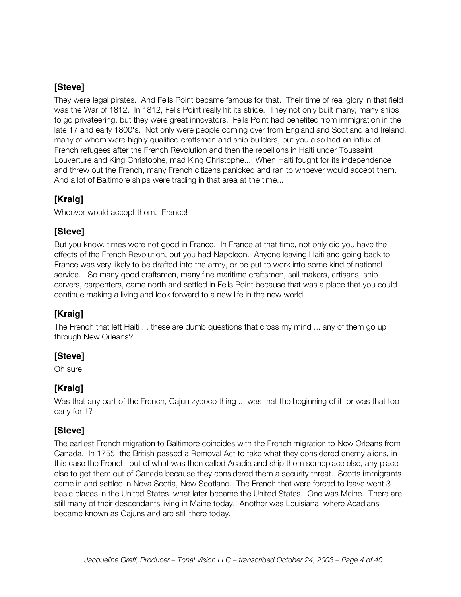They were legal pirates. And Fells Point became famous for that. Their time of real glory in that field was the War of 1812. In 1812, Fells Point really hit its stride. They not only built many, many ships to go privateering, but they were great innovators. Fells Point had benefited from immigration in the late 17 and early 1800's. Not only were people coming over from England and Scotland and Ireland, many of whom were highly qualified craftsmen and ship builders, but you also had an influx of French refugees after the French Revolution and then the rebellions in Haiti under Toussaint Louverture and King Christophe, mad King Christophe... When Haiti fought for its independence and threw out the French, many French citizens panicked and ran to whoever would accept them. And a lot of Baltimore ships were trading in that area at the time...

### **[Kraig]**

Whoever would accept them. France!

### **[Steve]**

But you know, times were not good in France. In France at that time, not only did you have the effects of the French Revolution, but you had Napoleon. Anyone leaving Haiti and going back to France was very likely to be drafted into the army, or be put to work into some kind of national service. So many good craftsmen, many fine maritime craftsmen, sail makers, artisans, ship carvers, carpenters, came north and settled in Fells Point because that was a place that you could continue making a living and look forward to a new life in the new world.

# **[Kraig]**

The French that left Haiti ... these are dumb questions that cross my mind ... any of them go up through New Orleans?

# **[Steve]**

Oh sure.

# **[Kraig]**

Was that any part of the French, Cajun zydeco thing ... was that the beginning of it, or was that too early for it?

# **[Steve]**

The earliest French migration to Baltimore coincides with the French migration to New Orleans from Canada. In 1755, the British passed a Removal Act to take what they considered enemy aliens, in this case the French, out of what was then called Acadia and ship them someplace else, any place else to get them out of Canada because they considered them a security threat. Scotts immigrants came in and settled in Nova Scotia, New Scotland. The French that were forced to leave went 3 basic places in the United States, what later became the United States. One was Maine. There are still many of their descendants living in Maine today. Another was Louisiana, where Acadians became known as Cajuns and are still there today.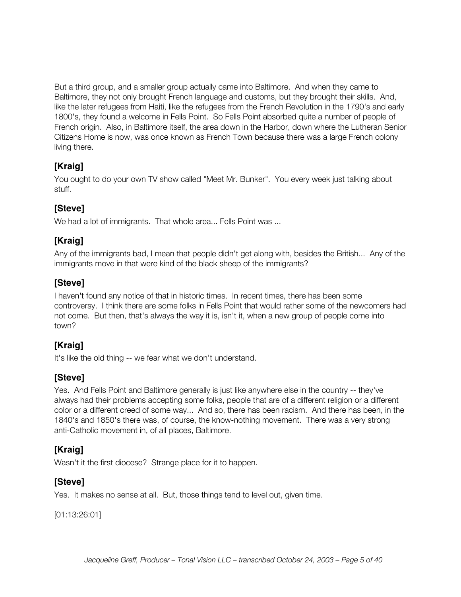But a third group, and a smaller group actually came into Baltimore. And when they came to Baltimore, they not only brought French language and customs, but they brought their skills. And, like the later refugees from Haiti, like the refugees from the French Revolution in the 1790's and early 1800's, they found a welcome in Fells Point. So Fells Point absorbed quite a number of people of French origin. Also, in Baltimore itself, the area down in the Harbor, down where the Lutheran Senior Citizens Home is now, was once known as French Town because there was a large French colony living there.

# **[Kraig]**

You ought to do your own TV show called "Meet Mr. Bunker". You every week just talking about stuff.

# **[Steve]**

We had a lot of immigrants. That whole area... Fells Point was ...

# **[Kraig]**

Any of the immigrants bad, I mean that people didn't get along with, besides the British... Any of the immigrants move in that were kind of the black sheep of the immigrants?

# **[Steve]**

I haven't found any notice of that in historic times. In recent times, there has been some controversy. I think there are some folks in Fells Point that would rather some of the newcomers had not come. But then, that's always the way it is, isn't it, when a new group of people come into town?

# **[Kraig]**

It's like the old thing -- we fear what we don't understand.

# **[Steve]**

Yes. And Fells Point and Baltimore generally is just like anywhere else in the country -- they've always had their problems accepting some folks, people that are of a different religion or a different color or a different creed of some way... And so, there has been racism. And there has been, in the 1840's and 1850's there was, of course, the know-nothing movement. There was a very strong anti-Catholic movement in, of all places, Baltimore.

# **[Kraig]**

Wasn't it the first diocese? Strange place for it to happen.

# **[Steve]**

Yes. It makes no sense at all. But, those things tend to level out, given time.

[01:13:26:01]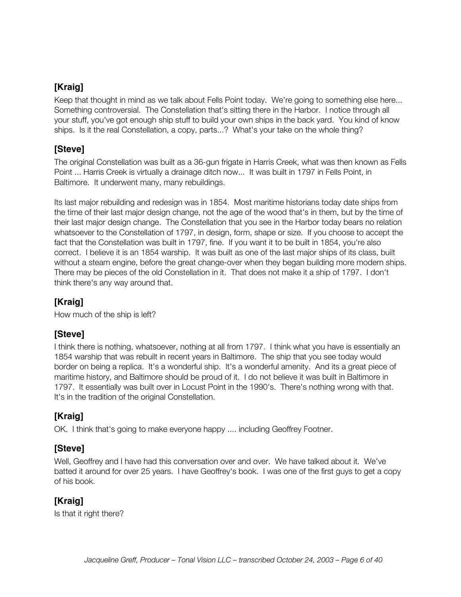Keep that thought in mind as we talk about Fells Point today. We're going to something else here... Something controversial. The Constellation that's sitting there in the Harbor. I notice through all your stuff, you've got enough ship stuff to build your own ships in the back yard. You kind of know ships. Is it the real Constellation, a copy, parts...? What's your take on the whole thing?

### **[Steve]**

The original Constellation was built as a 36-gun frigate in Harris Creek, what was then known as Fells Point ... Harris Creek is virtually a drainage ditch now... It was built in 1797 in Fells Point, in Baltimore. It underwent many, many rebuildings.

Its last major rebuilding and redesign was in 1854. Most maritime historians today date ships from the time of their last major design change, not the age of the wood that's in them, but by the time of their last major design change. The Constellation that you see in the Harbor today bears no relation whatsoever to the Constellation of 1797, in design, form, shape or size. If you choose to accept the fact that the Constellation was built in 1797, fine. If you want it to be built in 1854, you're also correct. I believe it is an 1854 warship. It was built as one of the last major ships of its class, built without a steam engine, before the great change-over when they began building more modern ships. There may be pieces of the old Constellation in it. That does not make it a ship of 1797. I don't think there's any way around that.

# **[Kraig]**

How much of the ship is left?

### **[Steve]**

I think there is nothing, whatsoever, nothing at all from 1797. I think what you have is essentially an 1854 warship that was rebuilt in recent years in Baltimore. The ship that you see today would border on being a replica. It's a wonderful ship. It's a wonderful amenity. And its a great piece of maritime history, and Baltimore should be proud of it. I do not believe it was built in Baltimore in 1797. It essentially was built over in Locust Point in the 1990's. There's nothing wrong with that. It's in the tradition of the original Constellation.

# **[Kraig]**

OK. I think that's going to make everyone happy .... including Geoffrey Footner.

#### **[Steve]**

Well, Geoffrey and I have had this conversation over and over. We have talked about it. We've batted it around for over 25 years. I have Geoffrey's book. I was one of the first guys to get a copy of his book.

# **[Kraig]**

Is that it right there?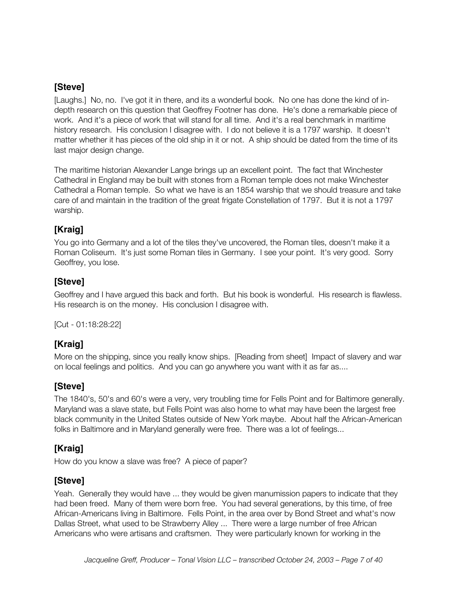[Laughs.] No, no. I've got it in there, and its a wonderful book. No one has done the kind of indepth research on this question that Geoffrey Footner has done. He's done a remarkable piece of work. And it's a piece of work that will stand for all time. And it's a real benchmark in maritime history research. His conclusion I disagree with. I do not believe it is a 1797 warship. It doesn't matter whether it has pieces of the old ship in it or not. A ship should be dated from the time of its last major design change.

The maritime historian Alexander Lange brings up an excellent point. The fact that Winchester Cathedral in England may be built with stones from a Roman temple does not make Winchester Cathedral a Roman temple. So what we have is an 1854 warship that we should treasure and take care of and maintain in the tradition of the great frigate Constellation of 1797. But it is not a 1797 warship.

### **[Kraig]**

You go into Germany and a lot of the tiles they've uncovered, the Roman tiles, doesn't make it a Roman Coliseum. It's just some Roman tiles in Germany. I see your point. It's very good. Sorry Geoffrey, you lose.

### **[Steve]**

Geoffrey and I have argued this back and forth. But his book is wonderful. His research is flawless. His research is on the money. His conclusion I disagree with.

[Cut - 01:18:28:22]

# **[Kraig]**

More on the shipping, since you really know ships. [Reading from sheet] Impact of slavery and war on local feelings and politics. And you can go anywhere you want with it as far as....

### **[Steve]**

The 1840's, 50's and 60's were a very, very troubling time for Fells Point and for Baltimore generally. Maryland was a slave state, but Fells Point was also home to what may have been the largest free black community in the United States outside of New York maybe. About half the African-American folks in Baltimore and in Maryland generally were free. There was a lot of feelings...

### **[Kraig]**

How do you know a slave was free? A piece of paper?

### **[Steve]**

Yeah. Generally they would have ... they would be given manumission papers to indicate that they had been freed. Many of them were born free. You had several generations, by this time, of free African-Americans living in Baltimore. Fells Point, in the area over by Bond Street and what's now Dallas Street, what used to be Strawberry Alley ... There were a large number of free African Americans who were artisans and craftsmen. They were particularly known for working in the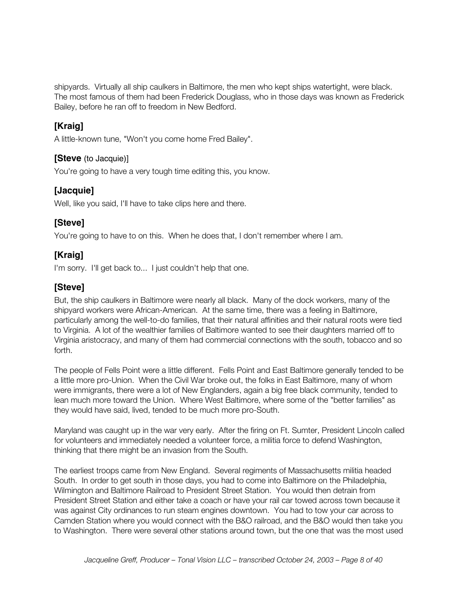shipyards. Virtually all ship caulkers in Baltimore, the men who kept ships watertight, were black. The most famous of them had been Frederick Douglass, who in those days was known as Frederick Bailey, before he ran off to freedom in New Bedford.

### **[Kraig]**

A little-known tune, "Won't you come home Fred Bailey".

#### **[Steve** (to Jacquie)]

You're going to have a very tough time editing this, you know.

### **[Jacquie]**

Well, like you said, I'll have to take clips here and there.

### **[Steve]**

You're going to have to on this. When he does that, I don't remember where I am.

# **[Kraig]**

I'm sorry. I'll get back to... I just couldn't help that one.

### **[Steve]**

But, the ship caulkers in Baltimore were nearly all black. Many of the dock workers, many of the shipyard workers were African-American. At the same time, there was a feeling in Baltimore, particularly among the well-to-do families, that their natural affinities and their natural roots were tied to Virginia. A lot of the wealthier families of Baltimore wanted to see their daughters married off to Virginia aristocracy, and many of them had commercial connections with the south, tobacco and so forth.

The people of Fells Point were a little different. Fells Point and East Baltimore generally tended to be a little more pro-Union. When the Civil War broke out, the folks in East Baltimore, many of whom were immigrants, there were a lot of New Englanders, again a big free black community, tended to lean much more toward the Union. Where West Baltimore, where some of the "better families" as they would have said, lived, tended to be much more pro-South.

Maryland was caught up in the war very early. After the firing on Ft. Sumter, President Lincoln called for volunteers and immediately needed a volunteer force, a militia force to defend Washington, thinking that there might be an invasion from the South.

The earliest troops came from New England. Several regiments of Massachusetts militia headed South. In order to get south in those days, you had to come into Baltimore on the Philadelphia, Wilmington and Baltimore Railroad to President Street Station. You would then detrain from President Street Station and either take a coach or have your rail car towed across town because it was against City ordinances to run steam engines downtown. You had to tow your car across to Camden Station where you would connect with the B&O railroad, and the B&O would then take you to Washington. There were several other stations around town, but the one that was the most used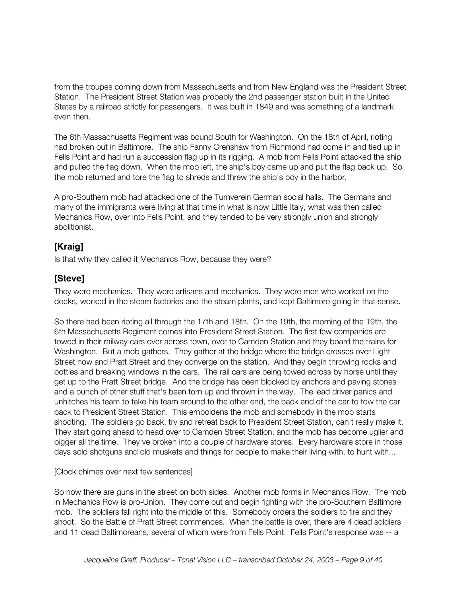from the troupes coming down from Massachusetts and from New England was the President Street Station. The President Street Station was probably the 2nd passenger station built in the United States by a railroad strictly for passengers. It was built in 1849 and was something of a landmark even then.

The 6th Massachusetts Regiment was bound South for Washington. On the 18th of April, rioting had broken out in Baltimore. The ship Fanny Crenshaw from Richmond had come in and tied up in Fells Point and had run a succession flag up in its rigging. A mob from Fells Point attacked the ship and pulled the flag down. When the mob left, the ship's boy came up and put the flag back up. So the mob returned and tore the flag to shreds and threw the ship's boy in the harbor.

A pro-Southern mob had attacked one of the Turnverein German social halls. The Germans and many of the immigrants were living at that time in what is now Little Italy, what was then called Mechanics Row, over into Fells Point, and they tended to be very strongly union and strongly abolitionist.

### **[Kraig]**

Is that why they called it Mechanics Row, because they were?

### **[Steve]**

They were mechanics. They were artisans and mechanics. They were men who worked on the docks, worked in the steam factories and the steam plants, and kept Baltimore going in that sense.

So there had been rioting all through the 17th and 18th. On the 19th, the morning of the 19th, the 6th Massachusetts Regiment comes into President Street Station. The first few companies are towed in their railway cars over across town, over to Camden Station and they board the trains for Washington. But a mob gathers. They gather at the bridge where the bridge crosses over Light Street now and Pratt Street and they converge on the station. And they begin throwing rocks and bottles and breaking windows in the cars. The rail cars are being towed across by horse until they get up to the Pratt Street bridge. And the bridge has been blocked by anchors and paving stones and a bunch of other stuff that's been torn up and thrown in the way. The lead driver panics and unhitches his team to take his team around to the other end, the back end of the car to tow the car back to President Street Station. This emboldens the mob and somebody in the mob starts shooting. The soldiers go back, try and retreat back to President Street Station, can't really make it. They start going ahead to head over to Camden Street Station, and the mob has become uglier and bigger all the time. They've broken into a couple of hardware stores. Every hardware store in those days sold shotguns and old muskets and things for people to make their living with, to hunt with...

#### [Clock chimes over next few sentences]

So now there are guns in the street on both sides. Another mob forms in Mechanics Row. The mob in Mechanics Row is pro-Union. They come out and begin fighting with the pro-Southern Baltimore mob. The soldiers fall right into the middle of this. Somebody orders the soldiers to fire and they shoot. So the Battle of Pratt Street commences. When the battle is over, there are 4 dead soldiers and 11 dead Baltimoreans, several of whom were from Fells Point. Fells Point's response was -- a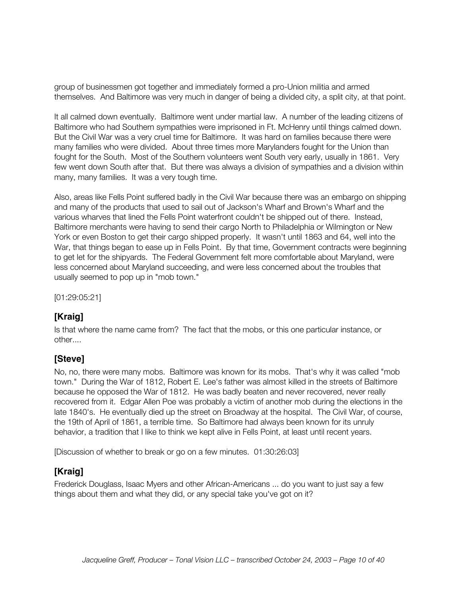group of businessmen got together and immediately formed a pro-Union militia and armed themselves. And Baltimore was very much in danger of being a divided city, a split city, at that point.

It all calmed down eventually. Baltimore went under martial law. A number of the leading citizens of Baltimore who had Southern sympathies were imprisoned in Ft. McHenry until things calmed down. But the Civil War was a very cruel time for Baltimore. It was hard on families because there were many families who were divided. About three times more Marylanders fought for the Union than fought for the South. Most of the Southern volunteers went South very early, usually in 1861. Very few went down South after that. But there was always a division of sympathies and a division within many, many families. It was a very tough time.

Also, areas like Fells Point suffered badly in the Civil War because there was an embargo on shipping and many of the products that used to sail out of Jackson's Wharf and Brown's Wharf and the various wharves that lined the Fells Point waterfront couldn't be shipped out of there. Instead, Baltimore merchants were having to send their cargo North to Philadelphia or Wilmington or New York or even Boston to get their cargo shipped properly. It wasn't until 1863 and 64, well into the War, that things began to ease up in Fells Point. By that time, Government contracts were beginning to get let for the shipyards. The Federal Government felt more comfortable about Maryland, were less concerned about Maryland succeeding, and were less concerned about the troubles that usually seemed to pop up in "mob town."

[01:29:05:21]

### **[Kraig]**

Is that where the name came from? The fact that the mobs, or this one particular instance, or other....

#### **[Steve]**

No, no, there were many mobs. Baltimore was known for its mobs. That's why it was called "mob town." During the War of 1812, Robert E. Lee's father was almost killed in the streets of Baltimore because he opposed the War of 1812. He was badly beaten and never recovered, never really recovered from it. Edgar Allen Poe was probably a victim of another mob during the elections in the late 1840's. He eventually died up the street on Broadway at the hospital. The Civil War, of course, the 19th of April of 1861, a terrible time. So Baltimore had always been known for its unruly behavior, a tradition that I like to think we kept alive in Fells Point, at least until recent years.

[Discussion of whether to break or go on a few minutes. 01:30:26:03]

#### **[Kraig]**

Frederick Douglass, Isaac Myers and other African-Americans ... do you want to just say a few things about them and what they did, or any special take you've got on it?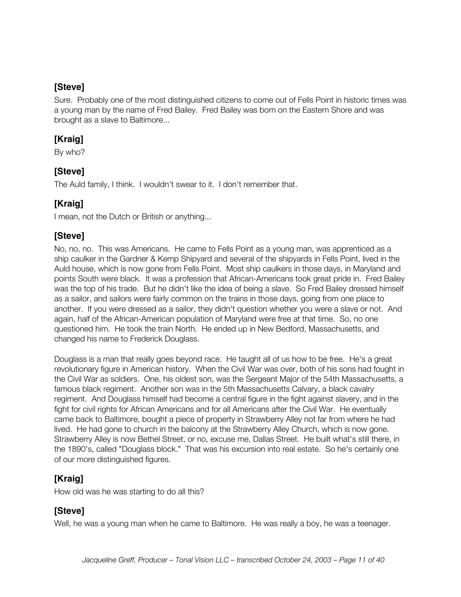Sure. Probably one of the most distinguished citizens to come out of Fells Point in historic times was a young man by the name of Fred Bailey. Fred Bailey was born on the Eastern Shore and was brought as a slave to Baltimore...

### **[Kraig]**

By who?

### **[Steve]**

The Auld family, I think. I wouldn't swear to it. I don't remember that.

# **[Kraig]**

I mean, not the Dutch or British or anything...

### **[Steve]**

No, no, no. This was Americans. He came to Fells Point as a young man, was apprenticed as a ship caulker in the Gardner & Kemp Shipyard and several of the shipyards in Fells Point, lived in the Auld house, which is now gone from Fells Point. Most ship caulkers in those days, in Maryland and points South were black. It was a profession that African-Americans took great pride in. Fred Bailey was the top of his trade. But he didn't like the idea of being a slave. So Fred Bailey dressed himself as a sailor, and sailors were fairly common on the trains in those days, going from one place to another. If you were dressed as a sailor, they didn't question whether you were a slave or not. And again, half of the African-American population of Maryland were free at that time. So, no one questioned him. He took the train North. He ended up in New Bedford, Massachusetts, and changed his name to Frederick Douglass.

Douglass is a man that really goes beyond race. He taught all of us how to be free. He's a great revolutionary figure in American history. When the Civil War was over, both of his sons had fought in the Civil War as soldiers. One, his oldest son, was the Sergeant Major of the 54th Massachusetts, a famous black regiment. Another son was in the 5th Massachusetts Calvary, a black cavalry regiment. And Douglass himself had become a central figure in the fight against slavery, and in the fight for civil rights for African Americans and for all Americans after the Civil War. He eventually came back to Baltimore, bought a piece of property in Strawberry Alley not far from where he had lived. He had gone to church in the balcony at the Strawberry Alley Church, which is now gone. Strawberry Alley is now Bethel Street, or no, excuse me, Dallas Street. He built what's still there, in the 1890's, called "Douglass block." That was his excursion into real estate. So he's certainly one of our more distinguished figures.

# **[Kraig]**

How old was he was starting to do all this?

### **[Steve]**

Well, he was a young man when he came to Baltimore. He was really a boy, he was a teenager.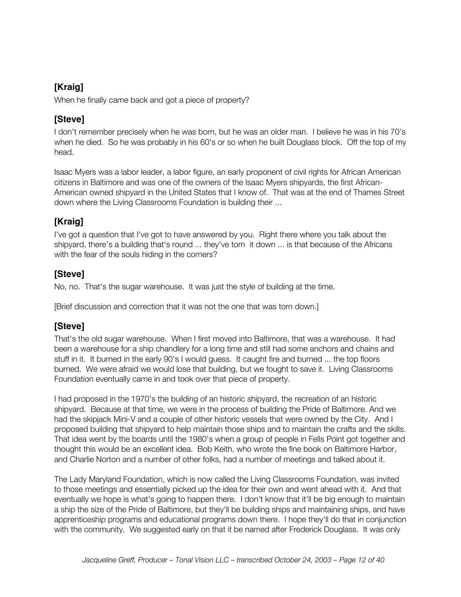When he finally came back and got a piece of property?

# **[Steve]**

I don't remember precisely when he was born, but he was an older man. I believe he was in his 70's when he died. So he was probably in his 60's or so when he built Douglass block. Off the top of my head.

Isaac Myers was a labor leader, a labor figure, an early proponent of civil rights for African American citizens in Baltimore and was one of the owners of the Isaac Myers shipyards, the first African-American owned shipyard in the United States that I know of. That was at the end of Thames Street down where the Living Classrooms Foundation is building their ...

# **[Kraig]**

I've got a question that I've got to have answered by you. Right there where you talk about the shipyard, there's a building that's round ... they've torn it down ... is that because of the Africans with the fear of the souls hiding in the corners?

# **[Steve]**

No, no. That's the sugar warehouse. It was just the style of building at the time.

[Brief discussion and correction that it was not the one that was torn down.]

# **[Steve]**

That's the old sugar warehouse. When I first moved into Baltimore, that was a warehouse. It had been a warehouse for a ship chandlery for a long time and still had some anchors and chains and stuff in it. It burned in the early 90's I would guess. It caught fire and burned ... the top floors burned. We were afraid we would lose that building, but we fought to save it. Living Classrooms Foundation eventually came in and took over that piece of property.

I had proposed in the 1970's the building of an historic shipyard, the recreation of an historic shipyard. Because at that time, we were in the process of building the Pride of Baltimore. And we had the skipjack Mini-V and a couple of other historic vessels that were owned by the City. And I proposed building that shipyard to help maintain those ships and to maintain the crafts and the skills. That idea went by the boards until the 1980's when a group of people in Fells Point got together and thought this would be an excellent idea. Bob Keith, who wrote the fine book on Baltimore Harbor, and Charlie Norton and a number of other folks, had a number of meetings and talked about it.

The Lady Maryland Foundation, which is now called the Living Classrooms Foundation, was invited to those meetings and essentially picked up the idea for their own and went ahead with it. And that eventually we hope is what's going to happen there. I don't know that it'll be big enough to maintain a ship the size of the Pride of Baltimore, but they'll be building ships and maintaining ships, and have apprenticeship programs and educational programs down there. I hope they'll do that in conjunction with the community. We suggested early on that it be named after Frederick Douglass. It was only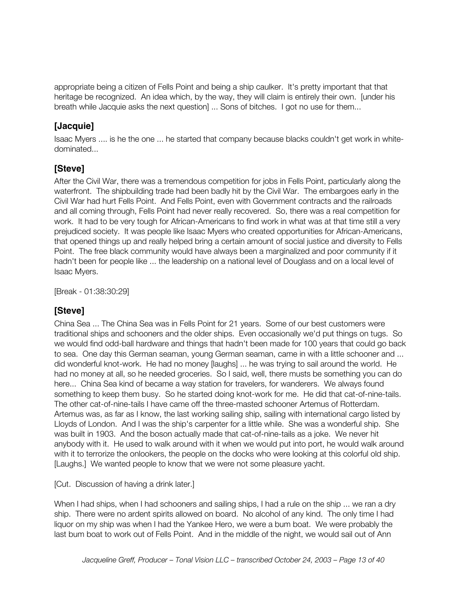appropriate being a citizen of Fells Point and being a ship caulker. It's pretty important that that heritage be recognized. An idea which, by the way, they will claim is entirely their own. [under his breath while Jacquie asks the next question] ... Sons of bitches. I got no use for them...

### **[Jacquie]**

Isaac Myers .... is he the one ... he started that company because blacks couldn't get work in whitedominated...

### **[Steve]**

After the Civil War, there was a tremendous competition for jobs in Fells Point, particularly along the waterfront. The shipbuilding trade had been badly hit by the Civil War. The embargoes early in the Civil War had hurt Fells Point. And Fells Point, even with Government contracts and the railroads and all coming through, Fells Point had never really recovered. So, there was a real competition for work. It had to be very tough for African-Americans to find work in what was at that time still a very prejudiced society. It was people like Isaac Myers who created opportunities for African-Americans, that opened things up and really helped bring a certain amount of social justice and diversity to Fells Point. The free black community would have always been a marginalized and poor community if it hadn't been for people like ... the leadership on a national level of Douglass and on a local level of Isaac Myers.

[Break - 01:38:30:29]

### **[Steve]**

China Sea ... The China Sea was in Fells Point for 21 years. Some of our best customers were traditional ships and schooners and the older ships. Even occasionally we'd put things on tugs. So we would find odd-ball hardware and things that hadn't been made for 100 years that could go back to sea. One day this German seaman, young German seaman, came in with a little schooner and ... did wonderful knot-work. He had no money [laughs] ... he was trying to sail around the world. He had no money at all, so he needed groceries. So I said, well, there musts be something you can do here... China Sea kind of became a way station for travelers, for wanderers. We always found something to keep them busy. So he started doing knot-work for me. He did that cat-of-nine-tails. The other cat-of-nine-tails I have came off the three-masted schooner Artemus of Rotterdam. Artemus was, as far as I know, the last working sailing ship, sailing with international cargo listed by Lloyds of London. And I was the ship's carpenter for a little while. She was a wonderful ship. She was built in 1903. And the boson actually made that cat-of-nine-tails as a joke. We never hit anybody with it. He used to walk around with it when we would put into port, he would walk around with it to terrorize the onlookers, the people on the docks who were looking at this colorful old ship. [Laughs.] We wanted people to know that we were not some pleasure yacht.

[Cut. Discussion of having a drink later.]

When I had ships, when I had schooners and sailing ships, I had a rule on the ship ... we ran a dry ship. There were no ardent spirits allowed on board. No alcohol of any kind. The only time I had liquor on my ship was when I had the Yankee Hero, we were a bum boat. We were probably the last bum boat to work out of Fells Point. And in the middle of the night, we would sail out of Ann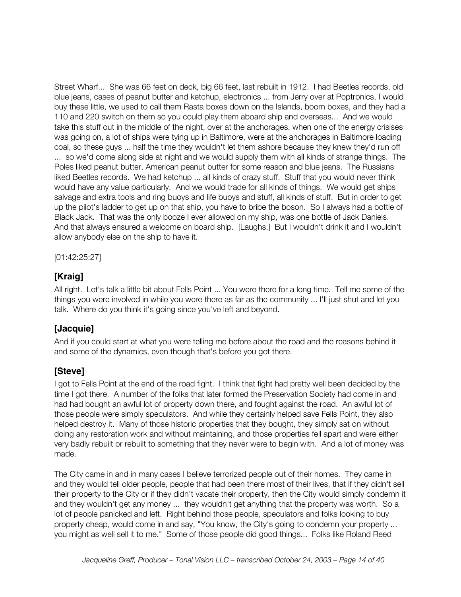Street Wharf... She was 66 feet on deck, big 66 feet, last rebuilt in 1912. I had Beetles records, old blue jeans, cases of peanut butter and ketchup, electronics ... from Jerry over at Poptronics, I would buy these little, we used to call them Rasta boxes down on the Islands, boom boxes, and they had a 110 and 220 switch on them so you could play them aboard ship and overseas... And we would take this stuff out in the middle of the night, over at the anchorages, when one of the energy crisises was going on, a lot of ships were tying up in Baltimore, were at the anchorages in Baltimore loading coal, so these guys ... half the time they wouldn't let them ashore because they knew they'd run off ... so we'd come along side at night and we would supply them with all kinds of strange things. The Poles liked peanut butter, American peanut butter for some reason and blue jeans. The Russians liked Beetles records. We had ketchup ... all kinds of crazy stuff. Stuff that you would never think would have any value particularly. And we would trade for all kinds of things. We would get ships salvage and extra tools and ring buoys and life buoys and stuff, all kinds of stuff. But in order to get up the pilot's ladder to get up on that ship, you have to bribe the boson. So I always had a bottle of Black Jack. That was the only booze I ever allowed on my ship, was one bottle of Jack Daniels. And that always ensured a welcome on board ship. [Laughs.] But I wouldn't drink it and I wouldn't allow anybody else on the ship to have it.

[01:42:25:27]

# **[Kraig]**

All right. Let's talk a little bit about Fells Point ... You were there for a long time. Tell me some of the things you were involved in while you were there as far as the community ... I'll just shut and let you talk. Where do you think it's going since you've left and beyond.

### **[Jacquie]**

And if you could start at what you were telling me before about the road and the reasons behind it and some of the dynamics, even though that's before you got there.

### **[Steve]**

I got to Fells Point at the end of the road fight. I think that fight had pretty well been decided by the time I got there. A number of the folks that later formed the Preservation Society had come in and had had bought an awful lot of property down there, and fought against the road. An awful lot of those people were simply speculators. And while they certainly helped save Fells Point, they also helped destroy it. Many of those historic properties that they bought, they simply sat on without doing any restoration work and without maintaining, and those properties fell apart and were either very badly rebuilt or rebuilt to something that they never were to begin with. And a lot of money was made.

The City came in and in many cases I believe terrorized people out of their homes. They came in and they would tell older people, people that had been there most of their lives, that if they didn't sell their property to the City or if they didn't vacate their property, then the City would simply condemn it and they wouldn't get any money ... they wouldn't get anything that the property was worth. So a lot of people panicked and left. Right behind those people, speculators and folks looking to buy property cheap, would come in and say, "You know, the City's going to condemn your property ... you might as well sell it to me." Some of those people did good things... Folks like Roland Reed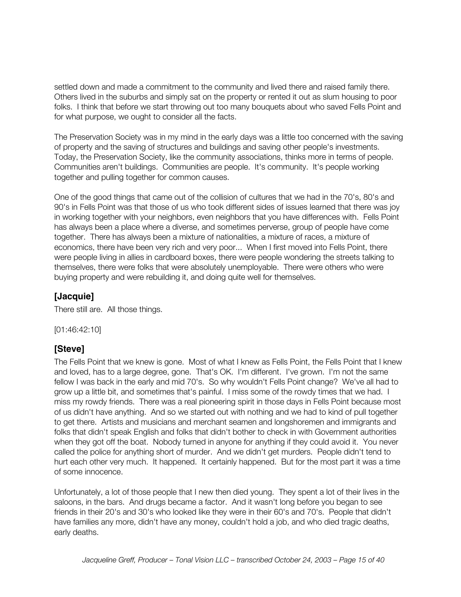settled down and made a commitment to the community and lived there and raised family there. Others lived in the suburbs and simply sat on the property or rented it out as slum housing to poor folks. I think that before we start throwing out too many bouquets about who saved Fells Point and for what purpose, we ought to consider all the facts.

The Preservation Society was in my mind in the early days was a little too concerned with the saving of property and the saving of structures and buildings and saving other people's investments. Today, the Preservation Society, like the community associations, thinks more in terms of people. Communities aren't buildings. Communities are people. It's community. It's people working together and pulling together for common causes.

One of the good things that came out of the collision of cultures that we had in the 70's, 80's and 90's in Fells Point was that those of us who took different sides of issues learned that there was joy in working together with your neighbors, even neighbors that you have differences with. Fells Point has always been a place where a diverse, and sometimes perverse, group of people have come together. There has always been a mixture of nationalities, a mixture of races, a mixture of economics, there have been very rich and very poor... When I first moved into Fells Point, there were people living in allies in cardboard boxes, there were people wondering the streets talking to themselves, there were folks that were absolutely unemployable. There were others who were buying property and were rebuilding it, and doing quite well for themselves.

#### **[Jacquie]**

There still are. All those things.

[01:46:42:10]

#### **[Steve]**

The Fells Point that we knew is gone. Most of what I knew as Fells Point, the Fells Point that I knew and loved, has to a large degree, gone. That's OK. I'm different. I've grown. I'm not the same fellow I was back in the early and mid 70's. So why wouldn't Fells Point change? We've all had to grow up a little bit, and sometimes that's painful. I miss some of the rowdy times that we had. I miss my rowdy friends. There was a real pioneering spirit in those days in Fells Point because most of us didn't have anything. And so we started out with nothing and we had to kind of pull together to get there. Artists and musicians and merchant seamen and longshoremen and immigrants and folks that didn't speak English and folks that didn't bother to check in with Government authorities when they got off the boat. Nobody turned in anyone for anything if they could avoid it. You never called the police for anything short of murder. And we didn't get murders. People didn't tend to hurt each other very much. It happened. It certainly happened. But for the most part it was a time of some innocence.

Unfortunately, a lot of those people that I new then died young. They spent a lot of their lives in the saloons, in the bars. And drugs became a factor. And it wasn't long before you began to see friends in their 20's and 30's who looked like they were in their 60's and 70's. People that didn't have families any more, didn't have any money, couldn't hold a job, and who died tragic deaths, early deaths.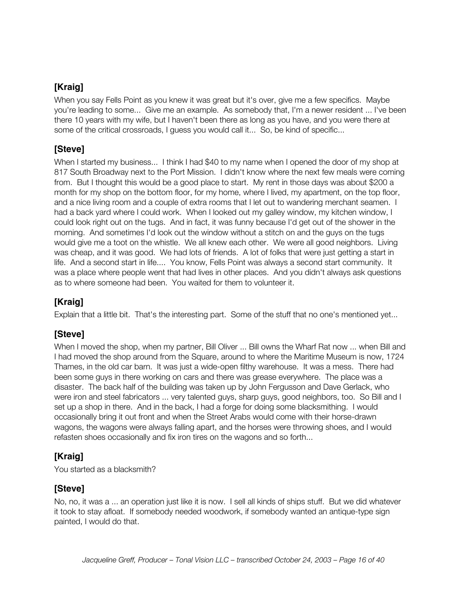When you say Fells Point as you knew it was great but it's over, give me a few specifics. Maybe you're leading to some... Give me an example. As somebody that, I'm a newer resident ... I've been there 10 years with my wife, but I haven't been there as long as you have, and you were there at some of the critical crossroads, I guess you would call it... So, be kind of specific...

### **[Steve]**

When I started my business... I think I had \$40 to my name when I opened the door of my shop at 817 South Broadway next to the Port Mission. I didn't know where the next few meals were coming from. But I thought this would be a good place to start. My rent in those days was about \$200 a month for my shop on the bottom floor, for my home, where I lived, my apartment, on the top floor, and a nice living room and a couple of extra rooms that I let out to wandering merchant seamen. I had a back yard where I could work. When I looked out my galley window, my kitchen window, I could look right out on the tugs. And in fact, it was funny because I'd get out of the shower in the morning. And sometimes I'd look out the window without a stitch on and the guys on the tugs would give me a toot on the whistle. We all knew each other. We were all good neighbors. Living was cheap, and it was good. We had lots of friends. A lot of folks that were just getting a start in life. And a second start in life.... You know, Fells Point was always a second start community. It was a place where people went that had lives in other places. And you didn't always ask questions as to where someone had been. You waited for them to volunteer it.

# **[Kraig]**

Explain that a little bit. That's the interesting part. Some of the stuff that no one's mentioned yet...

# **[Steve]**

When I moved the shop, when my partner, Bill Oliver ... Bill owns the Wharf Rat now ... when Bill and I had moved the shop around from the Square, around to where the Maritime Museum is now, 1724 Thames, in the old car barn. It was just a wide-open filthy warehouse. It was a mess. There had been some guys in there working on cars and there was grease everywhere. The place was a disaster. The back half of the building was taken up by John Fergusson and Dave Gerlack, who were iron and steel fabricators ... very talented guys, sharp guys, good neighbors, too. So Bill and I set up a shop in there. And in the back, I had a forge for doing some blacksmithing. I would occasionally bring it out front and when the Street Arabs would come with their horse-drawn wagons, the wagons were always falling apart, and the horses were throwing shoes, and I would refasten shoes occasionally and fix iron tires on the wagons and so forth...

# **[Kraig]**

You started as a blacksmith?

### **[Steve]**

No, no, it was a ... an operation just like it is now. I sell all kinds of ships stuff. But we did whatever it took to stay afloat. If somebody needed woodwork, if somebody wanted an antique-type sign painted, I would do that.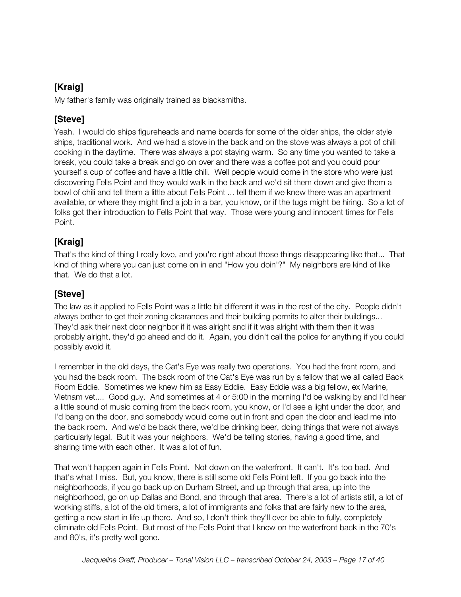My father's family was originally trained as blacksmiths.

### **[Steve]**

Yeah. I would do ships figureheads and name boards for some of the older ships, the older style ships, traditional work. And we had a stove in the back and on the stove was always a pot of chili cooking in the daytime. There was always a pot staying warm. So any time you wanted to take a break, you could take a break and go on over and there was a coffee pot and you could pour yourself a cup of coffee and have a little chili. Well people would come in the store who were just discovering Fells Point and they would walk in the back and we'd sit them down and give them a bowl of chili and tell them a little about Fells Point ... tell them if we knew there was an apartment available, or where they might find a job in a bar, you know, or if the tugs might be hiring. So a lot of folks got their introduction to Fells Point that way. Those were young and innocent times for Fells Point.

# **[Kraig]**

That's the kind of thing I really love, and you're right about those things disappearing like that... That kind of thing where you can just come on in and "How you doin'?" My neighbors are kind of like that. We do that a lot.

# **[Steve]**

The law as it applied to Fells Point was a little bit different it was in the rest of the city. People didn't always bother to get their zoning clearances and their building permits to alter their buildings... They'd ask their next door neighbor if it was alright and if it was alright with them then it was probably alright, they'd go ahead and do it. Again, you didn't call the police for anything if you could possibly avoid it.

I remember in the old days, the Cat's Eye was really two operations. You had the front room, and you had the back room. The back room of the Cat's Eye was run by a fellow that we all called Back Room Eddie. Sometimes we knew him as Easy Eddie. Easy Eddie was a big fellow, ex Marine, Vietnam vet.... Good guy. And sometimes at 4 or 5:00 in the morning I'd be walking by and I'd hear a little sound of music coming from the back room, you know, or I'd see a light under the door, and I'd bang on the door, and somebody would come out in front and open the door and lead me into the back room. And we'd be back there, we'd be drinking beer, doing things that were not always particularly legal. But it was your neighbors. We'd be telling stories, having a good time, and sharing time with each other. It was a lot of fun.

That won't happen again in Fells Point. Not down on the waterfront. It can't. It's too bad. And that's what I miss. But, you know, there is still some old Fells Point left. If you go back into the neighborhoods, if you go back up on Durham Street, and up through that area, up into the neighborhood, go on up Dallas and Bond, and through that area. There's a lot of artists still, a lot of working stiffs, a lot of the old timers, a lot of immigrants and folks that are fairly new to the area, getting a new start in life up there. And so, I don't think they'll ever be able to fully, completely eliminate old Fells Point. But most of the Fells Point that I knew on the waterfront back in the 70's and 80's, it's pretty well gone.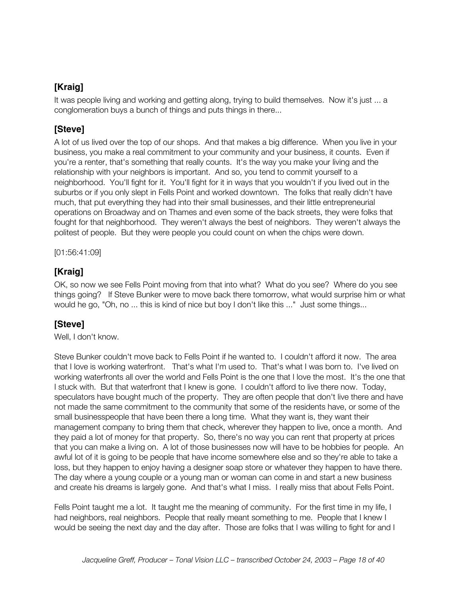It was people living and working and getting along, trying to build themselves. Now it's just ... a conglomeration buys a bunch of things and puts things in there...

# **[Steve]**

A lot of us lived over the top of our shops. And that makes a big difference. When you live in your business, you make a real commitment to your community and your business, it counts. Even if you're a renter, that's something that really counts. It's the way you make your living and the relationship with your neighbors is important. And so, you tend to commit yourself to a neighborhood. You'll fight for it. You'll fight for it in ways that you wouldn't if you lived out in the suburbs or if you only slept in Fells Point and worked downtown. The folks that really didn't have much, that put everything they had into their small businesses, and their little entrepreneurial operations on Broadway and on Thames and even some of the back streets, they were folks that fought for that neighborhood. They weren't always the best of neighbors. They weren't always the politest of people. But they were people you could count on when the chips were down.

[01:56:41:09]

# **[Kraig]**

OK, so now we see Fells Point moving from that into what? What do you see? Where do you see things going? If Steve Bunker were to move back there tomorrow, what would surprise him or what would he go, "Oh, no ... this is kind of nice but boy I don't like this ..." Just some things...

# **[Steve]**

Well, I don't know.

Steve Bunker couldn't move back to Fells Point if he wanted to. I couldn't afford it now. The area that I love is working waterfront. That's what I'm used to. That's what I was born to. I've lived on working waterfronts all over the world and Fells Point is the one that I love the most. It's the one that I stuck with. But that waterfront that I knew is gone. I couldn't afford to live there now. Today, speculators have bought much of the property. They are often people that don't live there and have not made the same commitment to the community that some of the residents have, or some of the small businesspeople that have been there a long time. What they want is, they want their management company to bring them that check, wherever they happen to live, once a month. And they paid a lot of money for that property. So, there's no way you can rent that property at prices that you can make a living on. A lot of those businesses now will have to be hobbies for people. An awful lot of it is going to be people that have income somewhere else and so they're able to take a loss, but they happen to enjoy having a designer soap store or whatever they happen to have there. The day where a young couple or a young man or woman can come in and start a new business and create his dreams is largely gone. And that's what I miss. I really miss that about Fells Point.

Fells Point taught me a lot. It taught me the meaning of community. For the first time in my life, I had neighbors, real neighbors. People that really meant something to me. People that I knew I would be seeing the next day and the day after. Those are folks that I was willing to fight for and I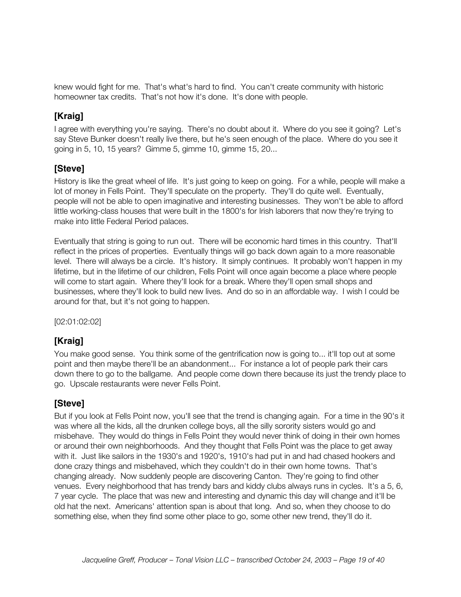knew would fight for me. That's what's hard to find. You can't create community with historic homeowner tax credits. That's not how it's done. It's done with people.

# **[Kraig]**

I agree with everything you're saying. There's no doubt about it. Where do you see it going? Let's say Steve Bunker doesn't really live there, but he's seen enough of the place. Where do you see it going in 5, 10, 15 years? Gimme 5, gimme 10, gimme 15, 20...

### **[Steve]**

History is like the great wheel of life. It's just going to keep on going. For a while, people will make a lot of money in Fells Point. They'll speculate on the property. They'll do quite well. Eventually, people will not be able to open imaginative and interesting businesses. They won't be able to afford little working-class houses that were built in the 1800's for Irish laborers that now they're trying to make into little Federal Period palaces.

Eventually that string is going to run out. There will be economic hard times in this country. That'll reflect in the prices of properties. Eventually things will go back down again to a more reasonable level. There will always be a circle. It's history. It simply continues. It probably won't happen in my lifetime, but in the lifetime of our children, Fells Point will once again become a place where people will come to start again. Where they'll look for a break. Where they'll open small shops and businesses, where they'll look to build new lives. And do so in an affordable way. I wish I could be around for that, but it's not going to happen.

[02:01:02:02]

# **[Kraig]**

You make good sense. You think some of the gentrification now is going to... it'll top out at some point and then maybe there'll be an abandonment... For instance a lot of people park their cars down there to go to the ballgame. And people come down there because its just the trendy place to go. Upscale restaurants were never Fells Point.

### **[Steve]**

But if you look at Fells Point now, you'll see that the trend is changing again. For a time in the 90's it was where all the kids, all the drunken college boys, all the silly sorority sisters would go and misbehave. They would do things in Fells Point they would never think of doing in their own homes or around their own neighborhoods. And they thought that Fells Point was the place to get away with it. Just like sailors in the 1930's and 1920's, 1910's had put in and had chased hookers and done crazy things and misbehaved, which they couldn't do in their own home towns. That's changing already. Now suddenly people are discovering Canton. They're going to find other venues. Every neighborhood that has trendy bars and kiddy clubs always runs in cycles. It's a 5, 6, 7 year cycle. The place that was new and interesting and dynamic this day will change and it'll be old hat the next. Americans' attention span is about that long. And so, when they choose to do something else, when they find some other place to go, some other new trend, they'll do it.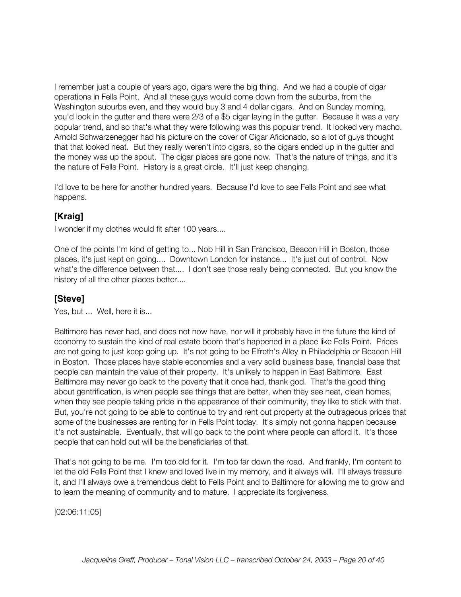I remember just a couple of years ago, cigars were the big thing. And we had a couple of cigar operations in Fells Point. And all these guys would come down from the suburbs, from the Washington suburbs even, and they would buy 3 and 4 dollar cigars. And on Sunday morning, you'd look in the gutter and there were 2/3 of a \$5 cigar laying in the gutter. Because it was a very popular trend, and so that's what they were following was this popular trend. It looked very macho. Arnold Schwarzenegger had his picture on the cover of Cigar Aficionado, so a lot of guys thought that that looked neat. But they really weren't into cigars, so the cigars ended up in the gutter and the money was up the spout. The cigar places are gone now. That's the nature of things, and it's the nature of Fells Point. History is a great circle. It'll just keep changing.

I'd love to be here for another hundred years. Because I'd love to see Fells Point and see what happens.

### **[Kraig]**

I wonder if my clothes would fit after 100 years....

One of the points I'm kind of getting to... Nob Hill in San Francisco, Beacon Hill in Boston, those places, it's just kept on going.... Downtown London for instance... It's just out of control. Now what's the difference between that.... I don't see those really being connected. But you know the history of all the other places better....

#### **[Steve]**

Yes, but ... Well, here it is...

Baltimore has never had, and does not now have, nor will it probably have in the future the kind of economy to sustain the kind of real estate boom that's happened in a place like Fells Point. Prices are not going to just keep going up. It's not going to be Elfreth's Alley in Philadelphia or Beacon Hill in Boston. Those places have stable economies and a very solid business base, financial base that people can maintain the value of their property. It's unlikely to happen in East Baltimore. East Baltimore may never go back to the poverty that it once had, thank god. That's the good thing about gentrification, is when people see things that are better, when they see neat, clean homes, when they see people taking pride in the appearance of their community, they like to stick with that. But, you're not going to be able to continue to try and rent out property at the outrageous prices that some of the businesses are renting for in Fells Point today. It's simply not gonna happen because it's not sustainable. Eventually, that will go back to the point where people can afford it. It's those people that can hold out will be the beneficiaries of that.

That's not going to be me. I'm too old for it. I'm too far down the road. And frankly, I'm content to let the old Fells Point that I knew and loved live in my memory, and it always will. I'll always treasure it, and I'll always owe a tremendous debt to Fells Point and to Baltimore for allowing me to grow and to learn the meaning of community and to mature. I appreciate its forgiveness.

[02:06:11:05]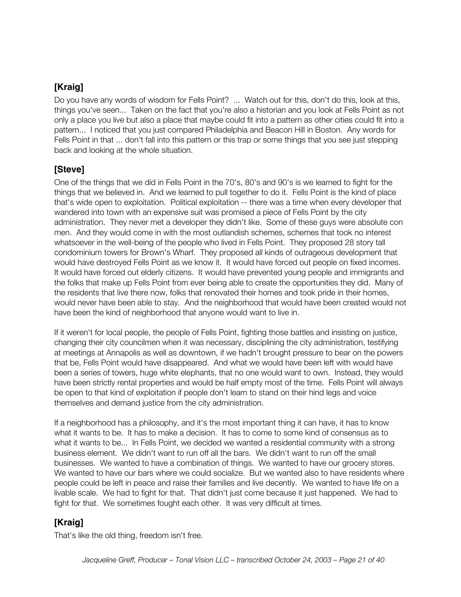Do you have any words of wisdom for Fells Point? ... Watch out for this, don't do this, look at this, things you've seen... Taken on the fact that you're also a historian and you look at Fells Point as not only a place you live but also a place that maybe could fit into a pattern as other cities could fit into a pattern... I noticed that you just compared Philadelphia and Beacon Hill in Boston. Any words for Fells Point in that ... don't fall into this pattern or this trap or some things that you see just stepping back and looking at the whole situation.

### **[Steve]**

One of the things that we did in Fells Point in the 70's, 80's and 90's is we learned to fight for the things that we believed in. And we learned to pull together to do it. Fells Point is the kind of place that's wide open to exploitation. Political exploitation -- there was a time when every developer that wandered into town with an expensive suit was promised a piece of Fells Point by the city administration. They never met a developer they didn't like. Some of these guys were absolute con men. And they would come in with the most outlandish schemes, schemes that took no interest whatsoever in the well-being of the people who lived in Fells Point. They proposed 28 story tall condominium towers for Brown's Wharf. They proposed all kinds of outrageous development that would have destroyed Fells Point as we know it. It would have forced out people on fixed incomes. It would have forced out elderly citizens. It would have prevented young people and immigrants and the folks that make up Fells Point from ever being able to create the opportunities they did. Many of the residents that live there now, folks that renovated their homes and took pride in their homes, would never have been able to stay. And the neighborhood that would have been created would not have been the kind of neighborhood that anyone would want to live in.

If it weren't for local people, the people of Fells Point, fighting those battles and insisting on justice, changing their city councilmen when it was necessary, disciplining the city administration, testifying at meetings at Annapolis as well as downtown, if we hadn't brought pressure to bear on the powers that be, Fells Point would have disappeared. And what we would have been left with would have been a series of towers, huge white elephants, that no one would want to own. Instead, they would have been strictly rental properties and would be half empty most of the time. Fells Point will always be open to that kind of exploitation if people don't learn to stand on their hind legs and voice themselves and demand justice from the city administration.

If a neighborhood has a philosophy, and it's the most important thing it can have, it has to know what it wants to be. It has to make a decision. It has to come to some kind of consensus as to what it wants to be... In Fells Point, we decided we wanted a residential community with a strong business element. We didn't want to run off all the bars. We didn't want to run off the small businesses. We wanted to have a combination of things. We wanted to have our grocery stores. We wanted to have our bars where we could socialize. But we wanted also to have residents where people could be left in peace and raise their families and live decently. We wanted to have life on a livable scale. We had to fight for that. That didn't just come because it just happened. We had to fight for that. We sometimes fought each other. It was very difficult at times.

# **[Kraig]**

That's like the old thing, freedom isn't free.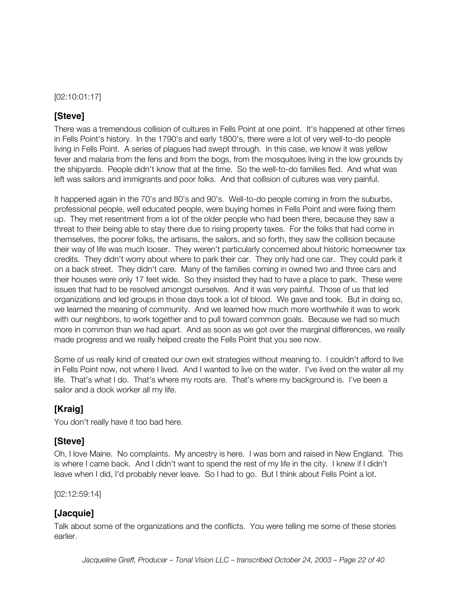[02:10:01:17]

#### **[Steve]**

There was a tremendous collision of cultures in Fells Point at one point. It's happened at other times in Fells Point's history. In the 1790's and early 1800's, there were a lot of very well-to-do people living in Fells Point. A series of plagues had swept through. In this case, we know it was yellow fever and malaria from the fens and from the bogs, from the mosquitoes living in the low grounds by the shipyards. People didn't know that at the time. So the well-to-do families fled. And what was left was sailors and immigrants and poor folks. And that collision of cultures was very painful.

It happened again in the 70's and 80's and 90's. Well-to-do people coming in from the suburbs, professional people, well educated people, were buying homes in Fells Point and were fixing them up. They met resentment from a lot of the older people who had been there, because they saw a threat to their being able to stay there due to rising property taxes. For the folks that had come in themselves, the poorer folks, the artisans, the sailors, and so forth, they saw the collision because their way of life was much looser. They weren't particularly concerned about historic homeowner tax credits. They didn't worry about where to park their car. They only had one car. They could park it on a back street. They didn't care. Many of the families coming in owned two and three cars and their houses were only 17 feet wide. So they insisted they had to have a place to park. These were issues that had to be resolved amongst ourselves. And it was very painful. Those of us that led organizations and led groups in those days took a lot of blood. We gave and took. But in doing so, we learned the meaning of community. And we learned how much more worthwhile it was to work with our neighbors, to work together and to pull toward common goals. Because we had so much more in common than we had apart. And as soon as we got over the marginal differences, we really made progress and we really helped create the Fells Point that you see now.

Some of us really kind of created our own exit strategies without meaning to. I couldn't afford to live in Fells Point now, not where I lived. And I wanted to live on the water. I've lived on the water all my life. That's what I do. That's where my roots are. That's where my background is. I've been a sailor and a dock worker all my life.

#### **[Kraig]**

You don't really have it too bad here.

### **[Steve]**

Oh, I love Maine. No complaints. My ancestry is here. I was born and raised in New England. This is where I came back. And I didn't want to spend the rest of my life in the city. I knew if I didn't leave when I did, I'd probably never leave. So I had to go. But I think about Fells Point a lot.

[02:12:59:14]

### **[Jacquie]**

Talk about some of the organizations and the conflicts. You were telling me some of these stories earlier.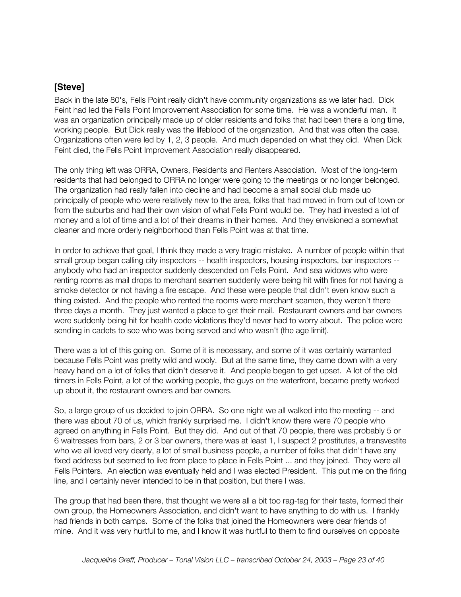Back in the late 80's, Fells Point really didn't have community organizations as we later had. Dick Feint had led the Fells Point Improvement Association for some time. He was a wonderful man. It was an organization principally made up of older residents and folks that had been there a long time, working people. But Dick really was the lifeblood of the organization. And that was often the case. Organizations often were led by 1, 2, 3 people. And much depended on what they did. When Dick Feint died, the Fells Point Improvement Association really disappeared.

The only thing left was ORRA, Owners, Residents and Renters Association. Most of the long-term residents that had belonged to ORRA no longer were going to the meetings or no longer belonged. The organization had really fallen into decline and had become a small social club made up principally of people who were relatively new to the area, folks that had moved in from out of town or from the suburbs and had their own vision of what Fells Point would be. They had invested a lot of money and a lot of time and a lot of their dreams in their homes. And they envisioned a somewhat cleaner and more orderly neighborhood than Fells Point was at that time.

In order to achieve that goal, I think they made a very tragic mistake. A number of people within that small group began calling city inspectors -- health inspectors, housing inspectors, bar inspectors -anybody who had an inspector suddenly descended on Fells Point. And sea widows who were renting rooms as mail drops to merchant seamen suddenly were being hit with fines for not having a smoke detector or not having a fire escape. And these were people that didn't even know such a thing existed. And the people who rented the rooms were merchant seamen, they weren't there three days a month. They just wanted a place to get their mail. Restaurant owners and bar owners were suddenly being hit for health code violations they'd never had to worry about. The police were sending in cadets to see who was being served and who wasn't (the age limit).

There was a lot of this going on. Some of it is necessary, and some of it was certainly warranted because Fells Point was pretty wild and wooly. But at the same time, they came down with a very heavy hand on a lot of folks that didn't deserve it. And people began to get upset. A lot of the old timers in Fells Point, a lot of the working people, the guys on the waterfront, became pretty worked up about it, the restaurant owners and bar owners.

So, a large group of us decided to join ORRA. So one night we all walked into the meeting -- and there was about 70 of us, which frankly surprised me. I didn't know there were 70 people who agreed on anything in Fells Point. But they did. And out of that 70 people, there was probably 5 or 6 waitresses from bars, 2 or 3 bar owners, there was at least 1, I suspect 2 prostitutes, a transvestite who we all loved very dearly, a lot of small business people, a number of folks that didn't have any fixed address but seemed to live from place to place in Fells Point ... and they joined. They were all Fells Pointers. An election was eventually held and I was elected President. This put me on the firing line, and I certainly never intended to be in that position, but there I was.

The group that had been there, that thought we were all a bit too rag-tag for their taste, formed their own group, the Homeowners Association, and didn't want to have anything to do with us. I frankly had friends in both camps. Some of the folks that joined the Homeowners were dear friends of mine. And it was very hurtful to me, and I know it was hurtful to them to find ourselves on opposite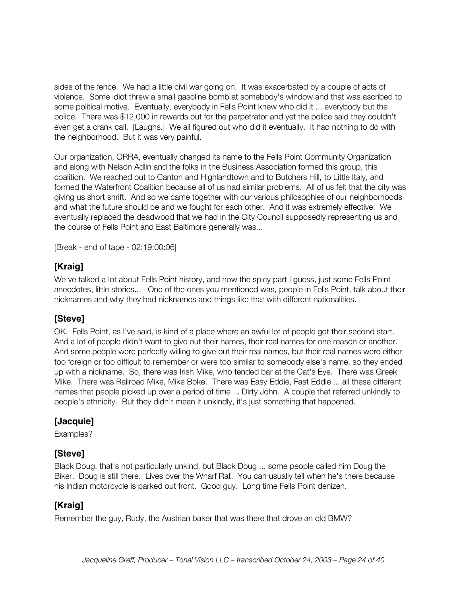sides of the fence. We had a little civil war going on. It was exacerbated by a couple of acts of violence. Some idiot threw a small gasoline bomb at somebody's window and that was ascribed to some political motive. Eventually, everybody in Fells Point knew who did it ... everybody but the police. There was \$12,000 in rewards out for the perpetrator and yet the police said they couldn't even get a crank call. [Laughs.] We all figured out who did it eventually. It had nothing to do with the neighborhood. But it was very painful.

Our organization, ORRA, eventually changed its name to the Fells Point Community Organization and along with Nelson Adlin and the folks in the Business Association formed this group, this coalition. We reached out to Canton and Highlandtown and to Butchers Hill, to Little Italy, and formed the Waterfront Coalition because all of us had similar problems. All of us felt that the city was giving us short shrift. And so we came together with our various philosophies of our neighborhoods and what the future should be and we fought for each other. And it was extremely effective. We eventually replaced the deadwood that we had in the City Council supposedly representing us and the course of Fells Point and East Baltimore generally was...

[Break - end of tape - 02:19:00:06]

# **[Kraig]**

We've talked a lot about Fells Point history, and now the spicy part I guess, just some Fells Point anecdotes, little stories... One of the ones you mentioned was, people in Fells Point, talk about their nicknames and why they had nicknames and things like that with different nationalities.

### **[Steve]**

OK. Fells Point, as I've said, is kind of a place where an awful lot of people got their second start. And a lot of people didn't want to give out their names, their real names for one reason or another. And some people were perfectly willing to give out their real names, but their real names were either too foreign or too difficult to remember or were too similar to somebody else's name, so they ended up with a nickname. So, there was Irish Mike, who tended bar at the Cat's Eye. There was Greek Mike. There was Railroad Mike, Mike Boke. There was Easy Eddie, Fast Eddie ... all these different names that people picked up over a period of time ... Dirty John. A couple that referred unkindly to people's ethnicity. But they didn't mean it unkindly, it's just something that happened.

### **[Jacquie]**

Examples?

### **[Steve]**

Black Doug, that's not particularly unkind, but Black Doug ... some people called him Doug the Biker. Doug is still there. Lives over the Wharf Rat. You can usually tell when he's there because his Indian motorcycle is parked out front. Good guy. Long time Fells Point denizen.

# **[Kraig]**

Remember the guy, Rudy, the Austrian baker that was there that drove an old BMW?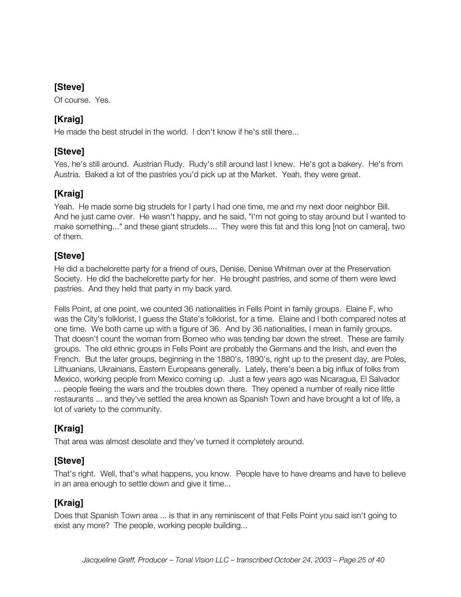Of course. Yes.

# **[Kraig]**

He made the best strudel in the world. I don't know if he's still there...

# **[Steve]**

Yes, he's still around. Austrian Rudy. Rudy's still around last I knew. He's got a bakery. He's from Austria. Baked a lot of the pastries you'd pick up at the Market. Yeah, they were great.

# **[Kraig]**

Yeah. He made some big strudels for I party I had one time, me and my next door neighbor Bill. And he just came over. He wasn't happy, and he said, "I'm not going to stay around but I wanted to make something..." and these giant strudels.... They were this fat and this long [not on camera], two of them.

# **[Steve]**

He did a bachelorette party for a friend of ours, Denise, Denise Whitman over at the Preservation Society. He did the bachelorette party for her. He brought pastries, and some of them were lewd pastries. And they held that party in my back yard.

Fells Point, at one point, we counted 36 nationalities in Fells Point in family groups. Elaine F, who was the City's folklorist, I guess the State's folklorist, for a time. Elaine and I both compared notes at one time. We both came up with a figure of 36. And by 36 nationalities, I mean in family groups. That doesn't count the woman from Borneo who was tending bar down the street. These are family groups. The old ethnic groups in Fells Point are probably the Germans and the Irish, and even the French. But the later groups, beginning in the 1880's, 1890's, right up to the present day, are Poles, Lithuanians, Ukrainians, Eastern Europeans generally. Lately, there's been a big influx of folks from Mexico, working people from Mexico coming up. Just a few years ago was Nicaragua, El Salvador ... people fleeing the wars and the troubles down there. They opened a number of really nice little restaurants ... and they've settled the area known as Spanish Town and have brought a lot of life, a lot of variety to the community.

# **[Kraig]**

That area was almost desolate and they've turned it completely around.

### **[Steve]**

That's right. Well, that's what happens, you know. People have to have dreams and have to believe in an area enough to settle down and give it time...

# **[Kraig]**

Does that Spanish Town area ... is that in any reminiscent of that Fells Point you said isn't going to exist any more? The people, working people building...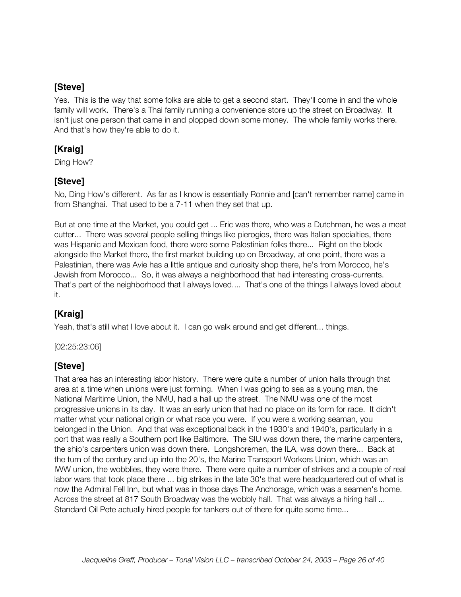Yes. This is the way that some folks are able to get a second start. They'll come in and the whole family will work. There's a Thai family running a convenience store up the street on Broadway. It isn't just one person that came in and plopped down some money. The whole family works there. And that's how they're able to do it.

### **[Kraig]**

Ding How?

# **[Steve]**

No, Ding How's different. As far as I know is essentially Ronnie and [can't remember name] came in from Shanghai. That used to be a 7-11 when they set that up.

But at one time at the Market, you could get ... Eric was there, who was a Dutchman, he was a meat cutter... There was several people selling things like pierogies, there was Italian specialties, there was Hispanic and Mexican food, there were some Palestinian folks there... Right on the block alongside the Market there, the first market building up on Broadway, at one point, there was a Palestinian, there was Avie has a little antique and curiosity shop there, he's from Morocco, he's Jewish from Morocco... So, it was always a neighborhood that had interesting cross-currents. That's part of the neighborhood that I always loved.... That's one of the things I always loved about it.

# **[Kraig]**

Yeah, that's still what I love about it. I can go walk around and get different... things.

#### [02:25:23:06]

### **[Steve]**

That area has an interesting labor history. There were quite a number of union halls through that area at a time when unions were just forming. When I was going to sea as a young man, the National Maritime Union, the NMU, had a hall up the street. The NMU was one of the most progressive unions in its day. It was an early union that had no place on its form for race. It didn't matter what your national origin or what race you were. If you were a working seaman, you belonged in the Union. And that was exceptional back in the 1930's and 1940's, particularly in a port that was really a Southern port like Baltimore. The SIU was down there, the marine carpenters, the ship's carpenters union was down there. Longshoremen, the ILA, was down there... Back at the turn of the century and up into the 20's, the Marine Transport Workers Union, which was an IWW union, the wobblies, they were there. There were quite a number of strikes and a couple of real labor wars that took place there ... big strikes in the late 30's that were headquartered out of what is now the Admiral Fell Inn, but what was in those days The Anchorage, which was a seamen's home. Across the street at 817 South Broadway was the wobbly hall. That was always a hiring hall ... Standard Oil Pete actually hired people for tankers out of there for quite some time...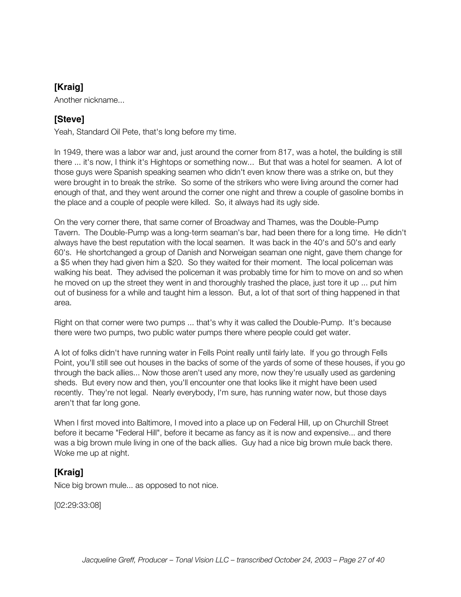Another nickname...

### **[Steve]**

Yeah, Standard Oil Pete, that's long before my time.

In 1949, there was a labor war and, just around the corner from 817, was a hotel, the building is still there ... it's now, I think it's Hightops or something now... But that was a hotel for seamen. A lot of those guys were Spanish speaking seamen who didn't even know there was a strike on, but they were brought in to break the strike. So some of the strikers who were living around the corner had enough of that, and they went around the corner one night and threw a couple of gasoline bombs in the place and a couple of people were killed. So, it always had its ugly side.

On the very corner there, that same corner of Broadway and Thames, was the Double-Pump Tavern. The Double-Pump was a long-term seaman's bar, had been there for a long time. He didn't always have the best reputation with the local seamen. It was back in the 40's and 50's and early 60's. He shortchanged a group of Danish and Norweigan seaman one night, gave them change for a \$5 when they had given him a \$20. So they waited for their moment. The local policeman was walking his beat. They advised the policeman it was probably time for him to move on and so when he moved on up the street they went in and thoroughly trashed the place, just tore it up ... put him out of business for a while and taught him a lesson. But, a lot of that sort of thing happened in that area.

Right on that corner were two pumps ... that's why it was called the Double-Pump. It's because there were two pumps, two public water pumps there where people could get water.

A lot of folks didn't have running water in Fells Point really until fairly late. If you go through Fells Point, you'll still see out houses in the backs of some of the yards of some of these houses, if you go through the back allies... Now those aren't used any more, now they're usually used as gardening sheds. But every now and then, you'll encounter one that looks like it might have been used recently. They're not legal. Nearly everybody, I'm sure, has running water now, but those days aren't that far long gone.

When I first moved into Baltimore, I moved into a place up on Federal Hill, up on Churchill Street before it became "Federal Hill", before it became as fancy as it is now and expensive... and there was a big brown mule living in one of the back allies. Guy had a nice big brown mule back there. Woke me up at night.

# **[Kraig]**

Nice big brown mule... as opposed to not nice.

[02:29:33:08]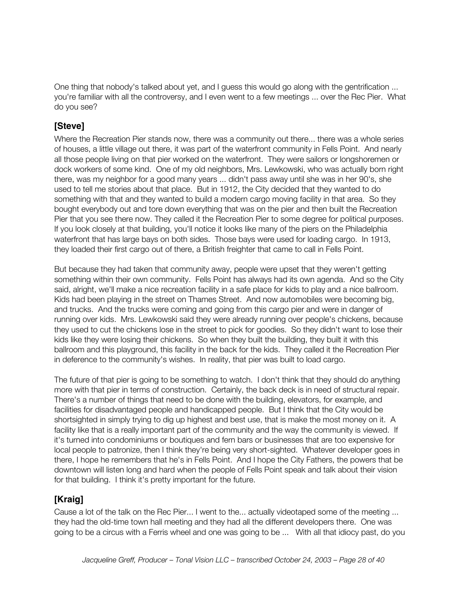One thing that nobody's talked about yet, and I guess this would go along with the gentrification ... you're familiar with all the controversy, and I even went to a few meetings ... over the Rec Pier. What do you see?

### **[Steve]**

Where the Recreation Pier stands now, there was a community out there... there was a whole series of houses, a little village out there, it was part of the waterfront community in Fells Point. And nearly all those people living on that pier worked on the waterfront. They were sailors or longshoremen or dock workers of some kind. One of my old neighbors, Mrs. Lewkowski, who was actually born right there, was my neighbor for a good many years ... didn't pass away until she was in her 90's, she used to tell me stories about that place. But in 1912, the City decided that they wanted to do something with that and they wanted to build a modern cargo moving facility in that area. So they bought everybody out and tore down everything that was on the pier and then built the Recreation Pier that you see there now. They called it the Recreation Pier to some degree for political purposes. If you look closely at that building, you'll notice it looks like many of the piers on the Philadelphia waterfront that has large bays on both sides. Those bays were used for loading cargo. In 1913, they loaded their first cargo out of there, a British freighter that came to call in Fells Point.

But because they had taken that community away, people were upset that they weren't getting something within their own community. Fells Point has always had its own agenda. And so the City said, alright, we'll make a nice recreation facility in a safe place for kids to play and a nice ballroom. Kids had been playing in the street on Thames Street. And now automobiles were becoming big, and trucks. And the trucks were coming and going from this cargo pier and were in danger of running over kids. Mrs. Lewkowski said they were already running over people's chickens, because they used to cut the chickens lose in the street to pick for goodies. So they didn't want to lose their kids like they were losing their chickens. So when they built the building, they built it with this ballroom and this playground, this facility in the back for the kids. They called it the Recreation Pier in deference to the community's wishes. In reality, that pier was built to load cargo.

The future of that pier is going to be something to watch. I don't think that they should do anything more with that pier in terms of construction. Certainly, the back deck is in need of structural repair. There's a number of things that need to be done with the building, elevators, for example, and facilities for disadvantaged people and handicapped people. But I think that the City would be shortsighted in simply trying to dig up highest and best use, that is make the most money on it. A facility like that is a really important part of the community and the way the community is viewed. If it's turned into condominiums or boutiques and fern bars or businesses that are too expensive for local people to patronize, then I think they're being very short-sighted. Whatever developer goes in there, I hope he remembers that he's in Fells Point. And I hope the City Fathers, the powers that be downtown will listen long and hard when the people of Fells Point speak and talk about their vision for that building. I think it's pretty important for the future.

### **[Kraig]**

Cause a lot of the talk on the Rec Pier... I went to the... actually videotaped some of the meeting ... they had the old-time town hall meeting and they had all the different developers there. One was going to be a circus with a Ferris wheel and one was going to be ... With all that idiocy past, do you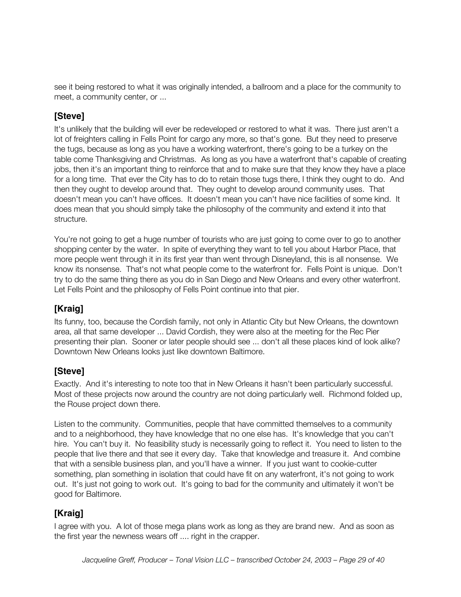see it being restored to what it was originally intended, a ballroom and a place for the community to meet, a community center, or ...

### **[Steve]**

It's unlikely that the building will ever be redeveloped or restored to what it was. There just aren't a lot of freighters calling in Fells Point for cargo any more, so that's gone. But they need to preserve the tugs, because as long as you have a working waterfront, there's going to be a turkey on the table come Thanksgiving and Christmas. As long as you have a waterfront that's capable of creating jobs, then it's an important thing to reinforce that and to make sure that they know they have a place for a long time. That ever the City has to do to retain those tugs there, I think they ought to do. And then they ought to develop around that. They ought to develop around community uses. That doesn't mean you can't have offices. It doesn't mean you can't have nice facilities of some kind. It does mean that you should simply take the philosophy of the community and extend it into that structure.

You're not going to get a huge number of tourists who are just going to come over to go to another shopping center by the water. In spite of everything they want to tell you about Harbor Place, that more people went through it in its first year than went through Disneyland, this is all nonsense. We know its nonsense. That's not what people come to the waterfront for. Fells Point is unique. Don't try to do the same thing there as you do in San Diego and New Orleans and every other waterfront. Let Fells Point and the philosophy of Fells Point continue into that pier.

# **[Kraig]**

Its funny, too, because the Cordish family, not only in Atlantic City but New Orleans, the downtown area, all that same developer ... David Cordish, they were also at the meeting for the Rec Pier presenting their plan. Sooner or later people should see ... don't all these places kind of look alike? Downtown New Orleans looks just like downtown Baltimore.

### **[Steve]**

Exactly. And it's interesting to note too that in New Orleans it hasn't been particularly successful. Most of these projects now around the country are not doing particularly well. Richmond folded up, the Rouse project down there.

Listen to the community. Communities, people that have committed themselves to a community and to a neighborhood, they have knowledge that no one else has. It's knowledge that you can't hire. You can't buy it. No feasibility study is necessarily going to reflect it. You need to listen to the people that live there and that see it every day. Take that knowledge and treasure it. And combine that with a sensible business plan, and you'll have a winner. If you just want to cookie-cutter something, plan something in isolation that could have fit on any waterfront, it's not going to work out. It's just not going to work out. It's going to bad for the community and ultimately it won't be good for Baltimore.

# **[Kraig]**

I agree with you. A lot of those mega plans work as long as they are brand new. And as soon as the first year the newness wears off .... right in the crapper.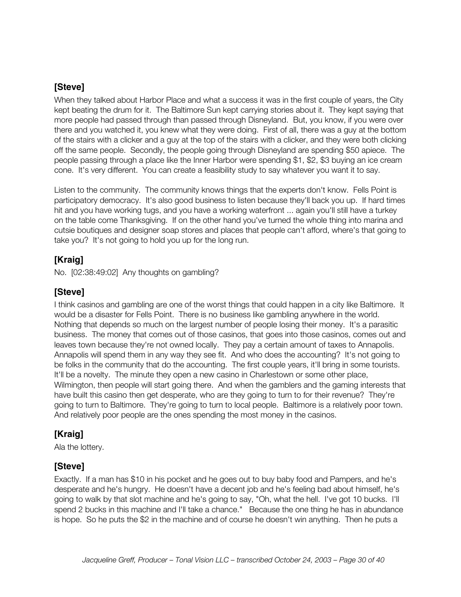When they talked about Harbor Place and what a success it was in the first couple of years, the City kept beating the drum for it. The Baltimore Sun kept carrying stories about it. They kept saying that more people had passed through than passed through Disneyland. But, you know, if you were over there and you watched it, you knew what they were doing. First of all, there was a guy at the bottom of the stairs with a clicker and a guy at the top of the stairs with a clicker, and they were both clicking off the same people. Secondly, the people going through Disneyland are spending \$50 apiece. The people passing through a place like the Inner Harbor were spending \$1, \$2, \$3 buying an ice cream cone. It's very different. You can create a feasibility study to say whatever you want it to say.

Listen to the community. The community knows things that the experts don't know. Fells Point is participatory democracy. It's also good business to listen because they'll back you up. If hard times hit and you have working tugs, and you have a working waterfront ... again you'll still have a turkey on the table come Thanksgiving. If on the other hand you've turned the whole thing into marina and cutsie boutiques and designer soap stores and places that people can't afford, where's that going to take you? It's not going to hold you up for the long run.

### **[Kraig]**

No. [02:38:49:02] Any thoughts on gambling?

### **[Steve]**

I think casinos and gambling are one of the worst things that could happen in a city like Baltimore. It would be a disaster for Fells Point. There is no business like gambling anywhere in the world. Nothing that depends so much on the largest number of people losing their money. It's a parasitic business. The money that comes out of those casinos, that goes into those casinos, comes out and leaves town because they're not owned locally. They pay a certain amount of taxes to Annapolis. Annapolis will spend them in any way they see fit. And who does the accounting? It's not going to be folks in the community that do the accounting. The first couple years, it'll bring in some tourists. It'll be a novelty. The minute they open a new casino in Charlestown or some other place, Wilmington, then people will start going there. And when the gamblers and the gaming interests that have built this casino then get desperate, who are they going to turn to for their revenue? They're going to turn to Baltimore. They're going to turn to local people. Baltimore is a relatively poor town. And relatively poor people are the ones spending the most money in the casinos.

# **[Kraig]**

Ala the lottery.

### **[Steve]**

Exactly. If a man has \$10 in his pocket and he goes out to buy baby food and Pampers, and he's desperate and he's hungry. He doesn't have a decent job and he's feeling bad about himself, he's going to walk by that slot machine and he's going to say, "Oh, what the hell. I've got 10 bucks. I'll spend 2 bucks in this machine and I'll take a chance." Because the one thing he has in abundance is hope. So he puts the \$2 in the machine and of course he doesn't win anything. Then he puts a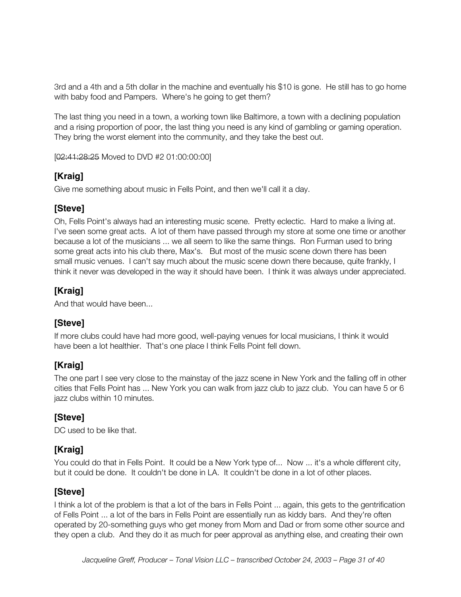3rd and a 4th and a 5th dollar in the machine and eventually his \$10 is gone. He still has to go home with baby food and Pampers. Where's he going to get them?

The last thing you need in a town, a working town like Baltimore, a town with a declining population and a rising proportion of poor, the last thing you need is any kind of gambling or gaming operation. They bring the worst element into the community, and they take the best out.

[02:41:28:25 Moved to DVD #2 01:00:00:00]

### **[Kraig]**

Give me something about music in Fells Point, and then we'll call it a day.

### **[Steve]**

Oh, Fells Point's always had an interesting music scene. Pretty eclectic. Hard to make a living at. I've seen some great acts. A lot of them have passed through my store at some one time or another because a lot of the musicians ... we all seem to like the same things. Ron Furman used to bring some great acts into his club there, Max's. But most of the music scene down there has been small music venues. I can't say much about the music scene down there because, quite frankly, I think it never was developed in the way it should have been. I think it was always under appreciated.

# **[Kraig]**

And that would have been...

### **[Steve]**

If more clubs could have had more good, well-paying venues for local musicians, I think it would have been a lot healthier. That's one place I think Fells Point fell down.

# **[Kraig]**

The one part I see very close to the mainstay of the jazz scene in New York and the falling off in other cities that Fells Point has ... New York you can walk from jazz club to jazz club. You can have 5 or 6 jazz clubs within 10 minutes.

### **[Steve]**

DC used to be like that.

# **[Kraig]**

You could do that in Fells Point. It could be a New York type of... Now ... it's a whole different city, but it could be done. It couldn't be done in LA. It couldn't be done in a lot of other places.

### **[Steve]**

I think a lot of the problem is that a lot of the bars in Fells Point ... again, this gets to the gentrification of Fells Point ... a lot of the bars in Fells Point are essentially run as kiddy bars. And they're often operated by 20-something guys who get money from Mom and Dad or from some other source and they open a club. And they do it as much for peer approval as anything else, and creating their own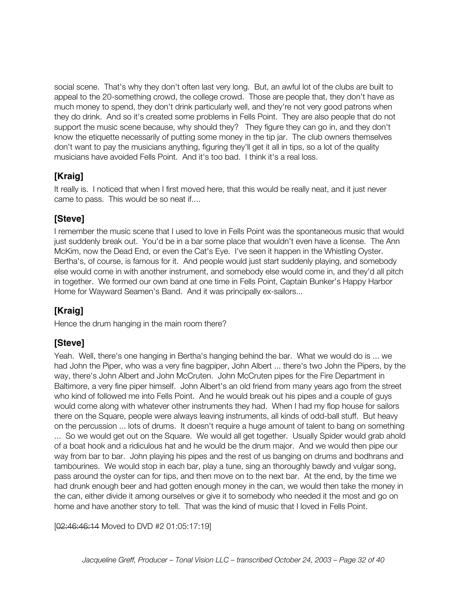social scene. That's why they don't often last very long. But, an awful lot of the clubs are built to appeal to the 20-something crowd, the college crowd. Those are people that, they don't have as much money to spend, they don't drink particularly well, and they're not very good patrons when they do drink. And so it's created some problems in Fells Point. They are also people that do not support the music scene because, why should they? They figure they can go in, and they don't know the etiquette necessarily of putting some money in the tip jar. The club owners themselves don't want to pay the musicians anything, figuring they'll get it all in tips, so a lot of the quality musicians have avoided Fells Point. And it's too bad. I think it's a real loss.

# **[Kraig]**

It really is. I noticed that when I first moved here, that this would be really neat, and it just never came to pass. This would be so neat if....

# **[Steve]**

I remember the music scene that I used to love in Fells Point was the spontaneous music that would just suddenly break out. You'd be in a bar some place that wouldn't even have a license. The Ann McKim, now the Dead End, or even the Cat's Eye. I've seen it happen in the Whistling Oyster. Bertha's, of course, is famous for it. And people would just start suddenly playing, and somebody else would come in with another instrument, and somebody else would come in, and they'd all pitch in together. We formed our own band at one time in Fells Point, Captain Bunker's Happy Harbor Home for Wayward Seamen's Band. And it was principally ex-sailors...

# **[Kraig]**

Hence the drum hanging in the main room there?

# **[Steve]**

Yeah. Well, there's one hanging in Bertha's hanging behind the bar. What we would do is ... we had John the Piper, who was a very fine bagpiper, John Albert ... there's two John the Pipers, by the way, there's John Albert and John McCruten. John McCruten pipes for the Fire Department in Baltimore, a very fine piper himself. John Albert's an old friend from many years ago from the street who kind of followed me into Fells Point. And he would break out his pipes and a couple of guys would come along with whatever other instruments they had. When I had my flop house for sailors there on the Square, people were always leaving instruments, all kinds of odd-ball stuff. But heavy on the percussion ... lots of drums. It doesn't require a huge amount of talent to bang on something ... So we would get out on the Square. We would all get together. Usually Spider would grab ahold of a boat hook and a ridiculous hat and he would be the drum major. And we would then pipe our way from bar to bar. John playing his pipes and the rest of us banging on drums and bodhrans and tambourines. We would stop in each bar, play a tune, sing an thoroughly bawdy and vulgar song, pass around the oyster can for tips, and then move on to the next bar. At the end, by the time we had drunk enough beer and had gotten enough money in the can, we would then take the money in the can, either divide it among ourselves or give it to somebody who needed it the most and go on home and have another story to tell. That was the kind of music that I loved in Fells Point.

[02:46:46:14 Moved to DVD #2 01:05:17:19]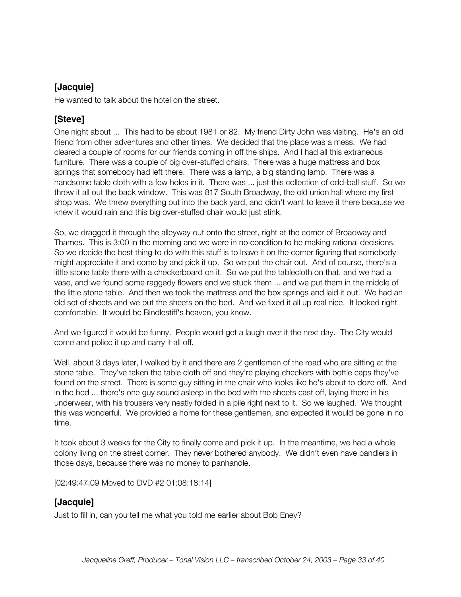### **[Jacquie]**

He wanted to talk about the hotel on the street.

### **[Steve]**

One night about ... This had to be about 1981 or 82. My friend Dirty John was visiting. He's an old friend from other adventures and other times. We decided that the place was a mess. We had cleared a couple of rooms for our friends coming in off the ships. And I had all this extraneous furniture. There was a couple of big over-stuffed chairs. There was a huge mattress and box springs that somebody had left there. There was a lamp, a big standing lamp. There was a handsome table cloth with a few holes in it. There was ... just this collection of odd-ball stuff. So we threw it all out the back window. This was 817 South Broadway, the old union hall where my first shop was. We threw everything out into the back yard, and didn't want to leave it there because we knew it would rain and this big over-stuffed chair would just stink.

So, we dragged it through the alleyway out onto the street, right at the corner of Broadway and Thames. This is 3:00 in the morning and we were in no condition to be making rational decisions. So we decide the best thing to do with this stuff is to leave it on the corner figuring that somebody might appreciate it and come by and pick it up. So we put the chair out. And of course, there's a little stone table there with a checkerboard on it. So we put the tablecloth on that, and we had a vase, and we found some raggedy flowers and we stuck them ... and we put them in the middle of the little stone table. And then we took the mattress and the box springs and laid it out. We had an old set of sheets and we put the sheets on the bed. And we fixed it all up real nice. It looked right comfortable. It would be Bindlestiff's heaven, you know.

And we figured it would be funny. People would get a laugh over it the next day. The City would come and police it up and carry it all off.

Well, about 3 days later, I walked by it and there are 2 gentlemen of the road who are sitting at the stone table. They've taken the table cloth off and they're playing checkers with bottle caps they've found on the street. There is some guy sitting in the chair who looks like he's about to doze off. And in the bed ... there's one guy sound asleep in the bed with the sheets cast off, laying there in his underwear, with his trousers very neatly folded in a pile right next to it. So we laughed. We thought this was wonderful. We provided a home for these gentlemen, and expected it would be gone in no time.

It took about 3 weeks for the City to finally come and pick it up. In the meantime, we had a whole colony living on the street corner. They never bothered anybody. We didn't even have pandlers in those days, because there was no money to panhandle.

[02:49:47:09 Moved to DVD #2 01:08:18:14]

### **[Jacquie]**

Just to fill in, can you tell me what you told me earlier about Bob Eney?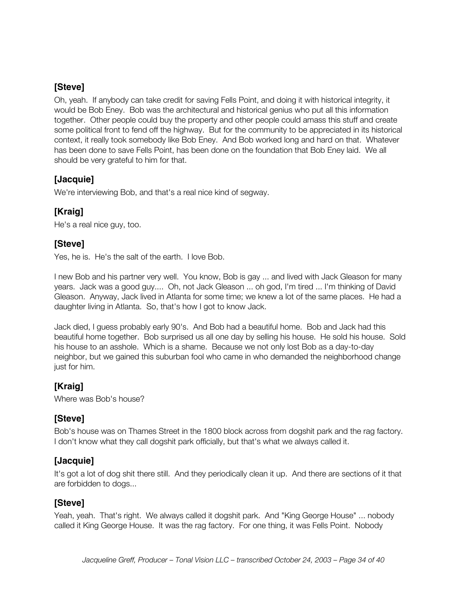Oh, yeah. If anybody can take credit for saving Fells Point, and doing it with historical integrity, it would be Bob Eney. Bob was the architectural and historical genius who put all this information together. Other people could buy the property and other people could amass this stuff and create some political front to fend off the highway. But for the community to be appreciated in its historical context, it really took somebody like Bob Eney. And Bob worked long and hard on that. Whatever has been done to save Fells Point, has been done on the foundation that Bob Eney laid. We all should be very grateful to him for that.

### **[Jacquie]**

We're interviewing Bob, and that's a real nice kind of segway.

### **[Kraig]**

He's a real nice guy, too.

### **[Steve]**

Yes, he is. He's the salt of the earth. I love Bob.

I new Bob and his partner very well. You know, Bob is gay ... and lived with Jack Gleason for many years. Jack was a good guy.... Oh, not Jack Gleason ... oh god, I'm tired ... I'm thinking of David Gleason. Anyway, Jack lived in Atlanta for some time; we knew a lot of the same places. He had a daughter living in Atlanta. So, that's how I got to know Jack.

Jack died, I guess probably early 90's. And Bob had a beautiful home. Bob and Jack had this beautiful home together. Bob surprised us all one day by selling his house. He sold his house. Sold his house to an asshole. Which is a shame. Because we not only lost Bob as a day-to-day neighbor, but we gained this suburban fool who came in who demanded the neighborhood change just for him.

### **[Kraig]**

Where was Bob's house?

### **[Steve]**

Bob's house was on Thames Street in the 1800 block across from dogshit park and the rag factory. I don't know what they call dogshit park officially, but that's what we always called it.

#### **[Jacquie]**

It's got a lot of dog shit there still. And they periodically clean it up. And there are sections of it that are forbidden to dogs...

#### **[Steve]**

Yeah, yeah. That's right. We always called it dogshit park. And "King George House" ... nobody called it King George House. It was the rag factory. For one thing, it was Fells Point. Nobody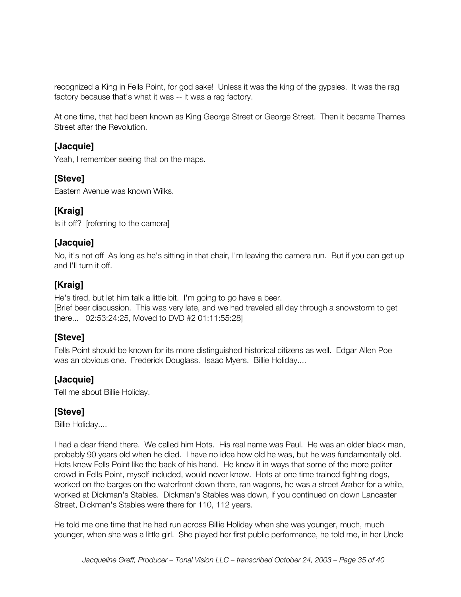recognized a King in Fells Point, for god sake! Unless it was the king of the gypsies. It was the rag factory because that's what it was -- it was a rag factory.

At one time, that had been known as King George Street or George Street. Then it became Thames Street after the Revolution.

#### **[Jacquie]**

Yeah, I remember seeing that on the maps.

#### **[Steve]**

Eastern Avenue was known Wilks.

### **[Kraig]**

Is it off? [referring to the camera]

### **[Jacquie]**

No, it's not off As long as he's sitting in that chair, I'm leaving the camera run. But if you can get up and I'll turn it off.

### **[Kraig]**

He's tired, but let him talk a little bit. I'm going to go have a beer. [Brief beer discussion. This was very late, and we had traveled all day through a snowstorm to get there... 02:53:24:25, Moved to DVD #2 01:11:55:28]

#### **[Steve]**

Fells Point should be known for its more distinguished historical citizens as well. Edgar Allen Poe was an obvious one. Frederick Douglass. Isaac Myers. Billie Holiday....

### **[Jacquie]**

Tell me about Billie Holiday.

#### **[Steve]**

Billie Holiday....

I had a dear friend there. We called him Hots. His real name was Paul. He was an older black man, probably 90 years old when he died. I have no idea how old he was, but he was fundamentally old. Hots knew Fells Point like the back of his hand. He knew it in ways that some of the more politer crowd in Fells Point, myself included, would never know. Hots at one time trained fighting dogs, worked on the barges on the waterfront down there, ran wagons, he was a street Araber for a while, worked at Dickman's Stables. Dickman's Stables was down, if you continued on down Lancaster Street, Dickman's Stables were there for 110, 112 years.

He told me one time that he had run across Billie Holiday when she was younger, much, much younger, when she was a little girl. She played her first public performance, he told me, in her Uncle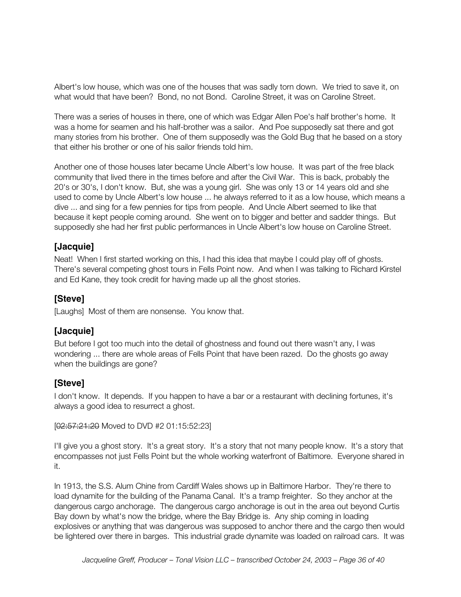Albert's low house, which was one of the houses that was sadly torn down. We tried to save it, on what would that have been? Bond, no not Bond. Caroline Street, it was on Caroline Street.

There was a series of houses in there, one of which was Edgar Allen Poe's half brother's home. It was a home for seamen and his half-brother was a sailor. And Poe supposedly sat there and got many stories from his brother. One of them supposedly was the Gold Bug that he based on a story that either his brother or one of his sailor friends told him.

Another one of those houses later became Uncle Albert's low house. It was part of the free black community that lived there in the times before and after the Civil War. This is back, probably the 20's or 30's, I don't know. But, she was a young girl. She was only 13 or 14 years old and she used to come by Uncle Albert's low house ... he always referred to it as a low house, which means a dive ... and sing for a few pennies for tips from people. And Uncle Albert seemed to like that because it kept people coming around. She went on to bigger and better and sadder things. But supposedly she had her first public performances in Uncle Albert's low house on Caroline Street.

#### **[Jacquie]**

Neat! When I first started working on this, I had this idea that maybe I could play off of ghosts. There's several competing ghost tours in Fells Point now. And when I was talking to Richard Kirstel and Ed Kane, they took credit for having made up all the ghost stories.

#### **[Steve]**

[Laughs] Most of them are nonsense. You know that.

#### **[Jacquie]**

But before I got too much into the detail of ghostness and found out there wasn't any, I was wondering ... there are whole areas of Fells Point that have been razed. Do the ghosts go away when the buildings are gone?

#### **[Steve]**

I don't know. It depends. If you happen to have a bar or a restaurant with declining fortunes, it's always a good idea to resurrect a ghost.

[02:57:21:20 Moved to DVD #2 01:15:52:23]

I'll give you a ghost story. It's a great story. It's a story that not many people know. It's a story that encompasses not just Fells Point but the whole working waterfront of Baltimore. Everyone shared in it.

In 1913, the S.S. Alum Chine from Cardiff Wales shows up in Baltimore Harbor. They're there to load dynamite for the building of the Panama Canal. It's a tramp freighter. So they anchor at the dangerous cargo anchorage. The dangerous cargo anchorage is out in the area out beyond Curtis Bay down by what's now the bridge, where the Bay Bridge is. Any ship coming in loading explosives or anything that was dangerous was supposed to anchor there and the cargo then would be lightered over there in barges. This industrial grade dynamite was loaded on railroad cars. It was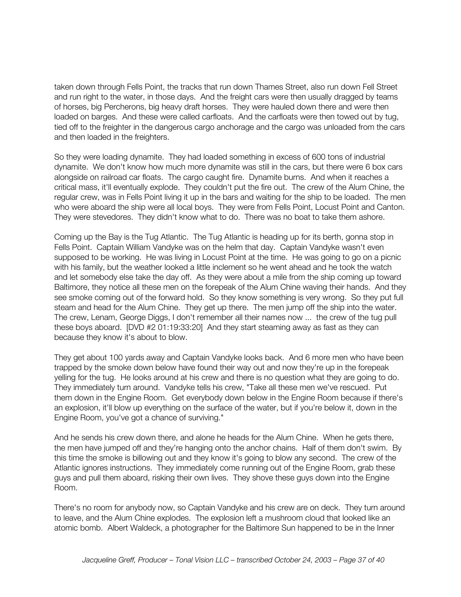taken down through Fells Point, the tracks that run down Thames Street, also run down Fell Street and run right to the water, in those days. And the freight cars were then usually dragged by teams of horses, big Percherons, big heavy draft horses. They were hauled down there and were then loaded on barges. And these were called carfloats. And the carfloats were then towed out by tug, tied off to the freighter in the dangerous cargo anchorage and the cargo was unloaded from the cars and then loaded in the freighters.

So they were loading dynamite. They had loaded something in excess of 600 tons of industrial dynamite. We don't know how much more dynamite was still in the cars, but there were 6 box cars alongside on railroad car floats. The cargo caught fire. Dynamite burns. And when it reaches a critical mass, it'll eventually explode. They couldn't put the fire out. The crew of the Alum Chine, the regular crew, was in Fells Point living it up in the bars and waiting for the ship to be loaded. The men who were aboard the ship were all local boys. They were from Fells Point, Locust Point and Canton. They were stevedores. They didn't know what to do. There was no boat to take them ashore.

Coming up the Bay is the Tug Atlantic. The Tug Atlantic is heading up for its berth, gonna stop in Fells Point. Captain William Vandyke was on the helm that day. Captain Vandyke wasn't even supposed to be working. He was living in Locust Point at the time. He was going to go on a picnic with his family, but the weather looked a little inclement so he went ahead and he took the watch and let somebody else take the day off. As they were about a mile from the ship coming up toward Baltimore, they notice all these men on the forepeak of the Alum Chine waving their hands. And they see smoke coming out of the forward hold. So they know something is very wrong. So they put full steam and head for the Alum Chine. They get up there. The men jump off the ship into the water. The crew, Lenam, George Diggs, I don't remember all their names now ... the crew of the tug pull these boys aboard. [DVD #2 01:19:33:20] And they start steaming away as fast as they can because they know it's about to blow.

They get about 100 yards away and Captain Vandyke looks back. And 6 more men who have been trapped by the smoke down below have found their way out and now they're up in the forepeak yelling for the tug. He looks around at his crew and there is no question what they are going to do. They immediately turn around. Vandyke tells his crew, "Take all these men we've rescued. Put them down in the Engine Room. Get everybody down below in the Engine Room because if there's an explosion, it'll blow up everything on the surface of the water, but if you're below it, down in the Engine Room, you've got a chance of surviving."

And he sends his crew down there, and alone he heads for the Alum Chine. When he gets there, the men have jumped off and they're hanging onto the anchor chains. Half of them don't swim. By this time the smoke is billowing out and they know it's going to blow any second. The crew of the Atlantic ignores instructions. They immediately come running out of the Engine Room, grab these guys and pull them aboard, risking their own lives. They shove these guys down into the Engine Room.

There's no room for anybody now, so Captain Vandyke and his crew are on deck. They turn around to leave, and the Alum Chine explodes. The explosion left a mushroom cloud that looked like an atomic bomb. Albert Waldeck, a photographer for the Baltimore Sun happened to be in the Inner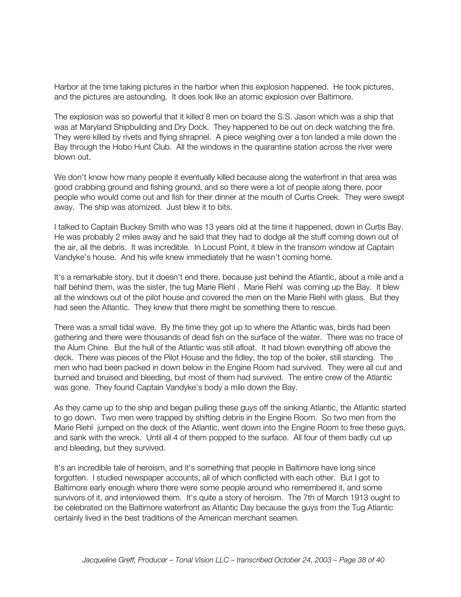Harbor at the time taking pictures in the harbor when this explosion happened. He took pictures, and the pictures are astounding. It does look like an atomic explosion over Baltimore.

The explosion was so powerful that it killed 8 men on board the S.S. Jason which was a ship that was at Maryland Shipbuilding and Dry Dock. They happened to be out on deck watching the fire. They were killed by rivets and flying shrapnel. A piece weighing over a ton landed a mile down the Bay through the Hobo Hunt Club. All the windows in the quarantine station across the river were blown out.

We don't know how many people it eventually killed because along the waterfront in that area was good crabbing ground and fishing ground, and so there were a lot of people along there, poor people who would come out and fish for their dinner at the mouth of Curtis Creek. They were swept away. The ship was atomized. Just blew it to bits.

I talked to Captain Buckey Smith who was 13 years old at the time it happened, down in Curtis Bay. He was probably 2 miles away and he said that they had to dodge all the stuff coming down out of the air, all the debris. It was incredible. In Locust Point, it blew in the transom window at Captain Vandyke's house. And his wife knew immediately that he wasn't coming home.

It's a remarkable story, but it doesn't end there, because just behind the Atlantic, about a mile and a half behind them, was the sister, the tug Marie Riehl. Marie Riehl was coming up the Bay. It blew all the windows out of the pilot house and covered the men on the Marie Riehl with glass. But they had seen the Atlantic. They knew that there might be something there to rescue.

There was a small tidal wave. By the time they got up to where the Atlantic was, birds had been gathering and there were thousands of dead fish on the surface of the water. There was no trace of the Alum Chine. But the hull of the Atlantic was still afloat. It had blown everything off above the deck. There was pieces of the Pilot House and the fidley, the top of the boiler, still standing. The men who had been packed in down below in the Engine Room had survived. They were all cut and burned and bruised and bleeding, but most of them had survived. The entire crew of the Atlantic was gone. They found Captain Vandyke's body a mile down the Bay.

As they came up to the ship and began pulling these guys off the sinking Atlantic, the Atlantic started to go down. Two men were trapped by shifting debris in the Engine Room. So two men from the Marie Riehl jumped on the deck of the Atlantic, went down into the Engine Room to free these guys, and sank with the wreck. Until all 4 of them popped to the surface. All four of them badly cut up and bleeding, but they survived.

It's an incredible tale of heroism, and it's something that people in Baltimore have long since forgotten. I studied newspaper accounts, all of which conflicted with each other. But I got to Baltimore early enough where there were some people around who remembered it, and some survivors of it, and interviewed them. It's quite a story of heroism. The 7th of March 1913 ought to be celebrated on the Baltimore waterfront as Atlantic Day because the guys from the Tug Atlantic certainly lived in the best traditions of the American merchant seamen.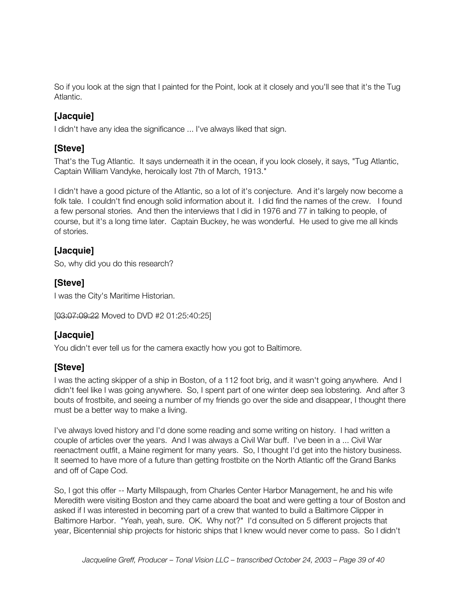So if you look at the sign that I painted for the Point, look at it closely and you'll see that it's the Tug Atlantic.

### **[Jacquie]**

I didn't have any idea the significance ... I've always liked that sign.

### **[Steve]**

That's the Tug Atlantic. It says underneath it in the ocean, if you look closely, it says, "Tug Atlantic, Captain William Vandyke, heroically lost 7th of March, 1913."

I didn't have a good picture of the Atlantic, so a lot of it's conjecture. And it's largely now become a folk tale. I couldn't find enough solid information about it. I did find the names of the crew. I found a few personal stories. And then the interviews that I did in 1976 and 77 in talking to people, of course, but it's a long time later. Captain Buckey, he was wonderful. He used to give me all kinds of stories.

# **[Jacquie]**

So, why did you do this research?

### **[Steve]**

I was the City's Maritime Historian.

[03:07:09:22 Moved to DVD #2 01:25:40:25]

### **[Jacquie]**

You didn't ever tell us for the camera exactly how you got to Baltimore.

# **[Steve]**

I was the acting skipper of a ship in Boston, of a 112 foot brig, and it wasn't going anywhere. And I didn't feel like I was going anywhere. So, I spent part of one winter deep sea lobstering. And after 3 bouts of frostbite, and seeing a number of my friends go over the side and disappear, I thought there must be a better way to make a living.

I've always loved history and I'd done some reading and some writing on history. I had written a couple of articles over the years. And I was always a Civil War buff. I've been in a ... Civil War reenactment outfit, a Maine regiment for many years. So, I thought I'd get into the history business. It seemed to have more of a future than getting frostbite on the North Atlantic off the Grand Banks and off of Cape Cod.

So, I got this offer -- Marty Millspaugh, from Charles Center Harbor Management, he and his wife Meredith were visiting Boston and they came aboard the boat and were getting a tour of Boston and asked if I was interested in becoming part of a crew that wanted to build a Baltimore Clipper in Baltimore Harbor. "Yeah, yeah, sure. OK. Why not?" I'd consulted on 5 different projects that year, Bicentennial ship projects for historic ships that I knew would never come to pass. So I didn't